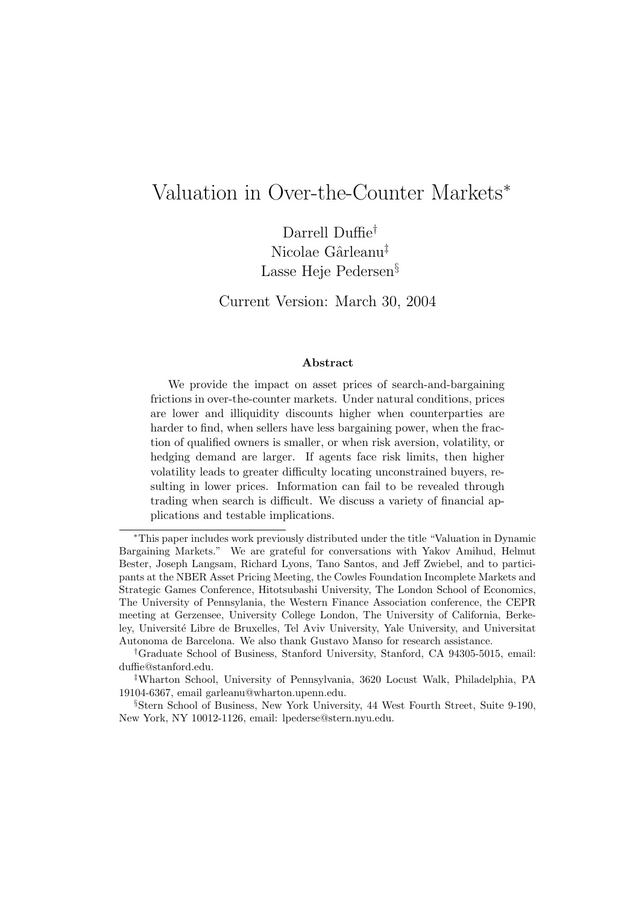# Valuation in Over-the-Counter Markets<sup>∗</sup>

Darrell Duffie† Nicolae Gârleanu<sup>‡</sup> Lasse Heje Pedersen§

Current Version: March 30, 2004

### Abstract

We provide the impact on asset prices of search-and-bargaining frictions in over-the-counter markets. Under natural conditions, prices are lower and illiquidity discounts higher when counterparties are harder to find, when sellers have less bargaining power, when the fraction of qualified owners is smaller, or when risk aversion, volatility, or hedging demand are larger. If agents face risk limits, then higher volatility leads to greater difficulty locating unconstrained buyers, resulting in lower prices. Information can fail to be revealed through trading when search is difficult. We discuss a variety of financial applications and testable implications.

<sup>∗</sup>This paper includes work previously distributed under the title "Valuation in Dynamic Bargaining Markets." We are grateful for conversations with Yakov Amihud, Helmut Bester, Joseph Langsam, Richard Lyons, Tano Santos, and Jeff Zwiebel, and to participants at the NBER Asset Pricing Meeting, the Cowles Foundation Incomplete Markets and Strategic Games Conference, Hitotsubashi University, The London School of Economics, The University of Pennsylania, the Western Finance Association conference, the CEPR meeting at Gerzensee, University College London, The University of California, Berkeley, Université Libre de Bruxelles, Tel Aviv University, Yale University, and Universitat Autonoma de Barcelona. We also thank Gustavo Manso for research assistance.

<sup>†</sup>Graduate School of Business, Stanford University, Stanford, CA 94305-5015, email: duffie@stanford.edu.

<sup>‡</sup>Wharton School, University of Pennsylvania, 3620 Locust Walk, Philadelphia, PA 19104-6367, email garleanu@wharton.upenn.edu.

<sup>§</sup>Stern School of Business, New York University, 44 West Fourth Street, Suite 9-190, New York, NY 10012-1126, email: lpederse@stern.nyu.edu.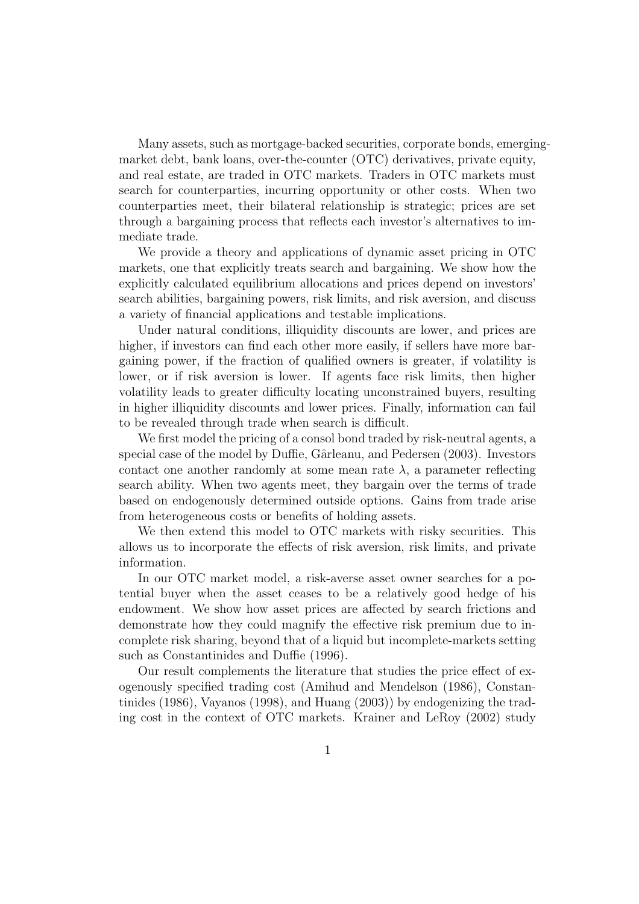Many assets, such as mortgage-backed securities, corporate bonds, emergingmarket debt, bank loans, over-the-counter (OTC) derivatives, private equity, and real estate, are traded in OTC markets. Traders in OTC markets must search for counterparties, incurring opportunity or other costs. When two counterparties meet, their bilateral relationship is strategic; prices are set through a bargaining process that reflects each investor's alternatives to immediate trade.

We provide a theory and applications of dynamic asset pricing in OTC markets, one that explicitly treats search and bargaining. We show how the explicitly calculated equilibrium allocations and prices depend on investors' search abilities, bargaining powers, risk limits, and risk aversion, and discuss a variety of financial applications and testable implications.

Under natural conditions, illiquidity discounts are lower, and prices are higher, if investors can find each other more easily, if sellers have more bargaining power, if the fraction of qualified owners is greater, if volatility is lower, or if risk aversion is lower. If agents face risk limits, then higher volatility leads to greater difficulty locating unconstrained buyers, resulting in higher illiquidity discounts and lower prices. Finally, information can fail to be revealed through trade when search is difficult.

We first model the pricing of a consol bond traded by risk-neutral agents, a special case of the model by Duffie, Gârleanu, and Pedersen (2003). Investors contact one another randomly at some mean rate  $\lambda$ , a parameter reflecting search ability. When two agents meet, they bargain over the terms of trade based on endogenously determined outside options. Gains from trade arise from heterogeneous costs or benefits of holding assets.

We then extend this model to OTC markets with risky securities. This allows us to incorporate the effects of risk aversion, risk limits, and private information.

In our OTC market model, a risk-averse asset owner searches for a potential buyer when the asset ceases to be a relatively good hedge of his endowment. We show how asset prices are affected by search frictions and demonstrate how they could magnify the effective risk premium due to incomplete risk sharing, beyond that of a liquid but incomplete-markets setting such as Constantinides and Duffie (1996).

Our result complements the literature that studies the price effect of exogenously specified trading cost (Amihud and Mendelson (1986), Constantinides (1986), Vayanos (1998), and Huang (2003)) by endogenizing the trading cost in the context of OTC markets. Krainer and LeRoy (2002) study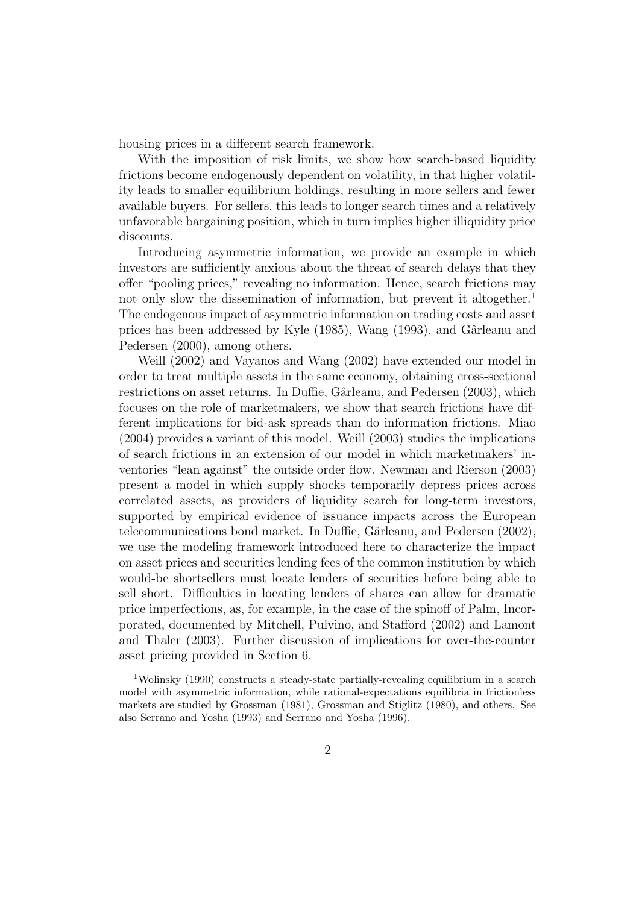housing prices in a different search framework.

With the imposition of risk limits, we show how search-based liquidity frictions become endogenously dependent on volatility, in that higher volatility leads to smaller equilibrium holdings, resulting in more sellers and fewer available buyers. For sellers, this leads to longer search times and a relatively unfavorable bargaining position, which in turn implies higher illiquidity price discounts.

Introducing asymmetric information, we provide an example in which investors are sufficiently anxious about the threat of search delays that they offer "pooling prices," revealing no information. Hence, search frictions may not only slow the dissemination of information, but prevent it altogether.<sup>1</sup> The endogenous impact of asymmetric information on trading costs and asset prices has been addressed by Kyle (1985), Wang (1993), and Gârleanu and Pedersen (2000), among others.

Weill (2002) and Vayanos and Wang (2002) have extended our model in order to treat multiple assets in the same economy, obtaining cross-sectional restrictions on asset returns. In Duffie, Gârleanu, and Pedersen (2003), which focuses on the role of marketmakers, we show that search frictions have different implications for bid-ask spreads than do information frictions. Miao (2004) provides a variant of this model. Weill (2003) studies the implications of search frictions in an extension of our model in which marketmakers' inventories "lean against" the outside order flow. Newman and Rierson (2003) present a model in which supply shocks temporarily depress prices across correlated assets, as providers of liquidity search for long-term investors, supported by empirical evidence of issuance impacts across the European telecommunications bond market. In Duffie, Gârleanu, and Pedersen (2002), we use the modeling framework introduced here to characterize the impact on asset prices and securities lending fees of the common institution by which would-be shortsellers must locate lenders of securities before being able to sell short. Difficulties in locating lenders of shares can allow for dramatic price imperfections, as, for example, in the case of the spinoff of Palm, Incorporated, documented by Mitchell, Pulvino, and Stafford (2002) and Lamont and Thaler (2003). Further discussion of implications for over-the-counter asset pricing provided in Section 6.

<sup>1</sup>Wolinsky (1990) constructs a steady-state partially-revealing equilibrium in a search model with asymmetric information, while rational-expectations equilibria in frictionless markets are studied by Grossman (1981), Grossman and Stiglitz (1980), and others. See also Serrano and Yosha (1993) and Serrano and Yosha (1996).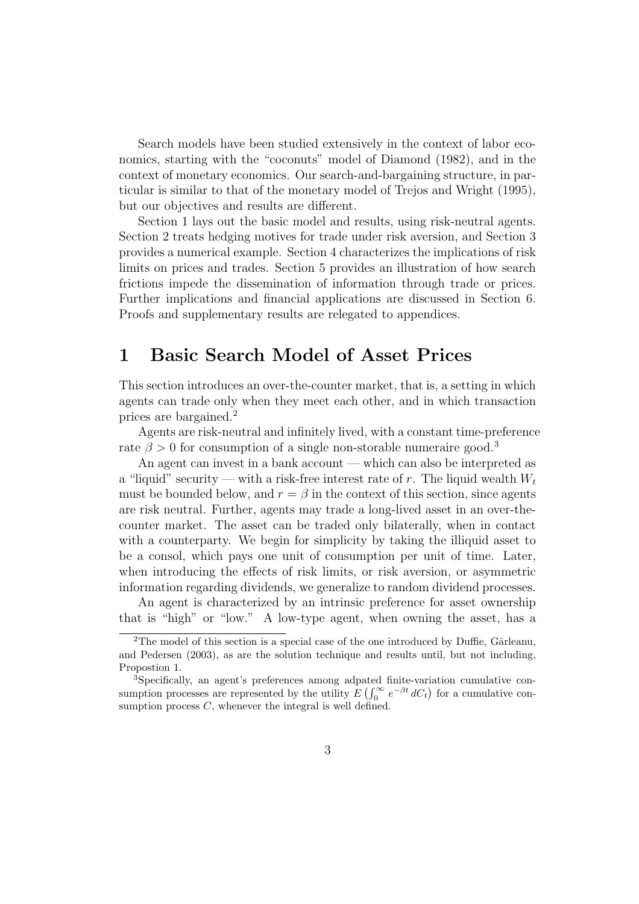Search models have been studied extensively in the context of labor economics, starting with the "coconuts" model of Diamond (1982), and in the context of monetary economics. Our search-and-bargaining structure, in particular is similar to that of the monetary model of Trejos and Wright (1995), but our objectives and results are different.

Section 1 lays out the basic model and results, using risk-neutral agents. Section 2 treats hedging motives for trade under risk aversion, and Section 3 provides a numerical example. Section 4 characterizes the implications of risk limits on prices and trades. Section 5 provides an illustration of how search frictions impede the dissemination of information through trade or prices. Further implications and financial applications are discussed in Section 6. Proofs and supplementary results are relegated to appendices.

## 1 Basic Search Model of Asset Prices

This section introduces an over-the-counter market, that is, a setting in which agents can trade only when they meet each other, and in which transaction prices are bargained.<sup>2</sup>

Agents are risk-neutral and infinitely lived, with a constant time-preference rate  $\beta > 0$  for consumption of a single non-storable numeraire good.<sup>3</sup>

An agent can invest in a bank account — which can also be interpreted as a "liquid" security — with a risk-free interest rate of r. The liquid wealth  $W_t$ must be bounded below, and  $r = \beta$  in the context of this section, since agents are risk neutral. Further, agents may trade a long-lived asset in an over-thecounter market. The asset can be traded only bilaterally, when in contact with a counterparty. We begin for simplicity by taking the illiquid asset to be a consol, which pays one unit of consumption per unit of time. Later, when introducing the effects of risk limits, or risk aversion, or asymmetric information regarding dividends, we generalize to random dividend processes.

An agent is characterized by an intrinsic preference for asset ownership that is "high" or "low." A low-type agent, when owning the asset, has a

<sup>&</sup>lt;sup>2</sup>The model of this section is a special case of the one introduced by Duffie, Gârleanu, and Pedersen (2003), as are the solution technique and results until, but not including, Propostion 1.

<sup>3</sup>Specifically, an agent's preferences among adpated finite-variation cumulative consumption processes are represented by the utility  $E\left(\int_0^\infty e^{-\beta t} dC_t\right)$  for a cumulative consumption process  $C$ , whenever the integral is well defined.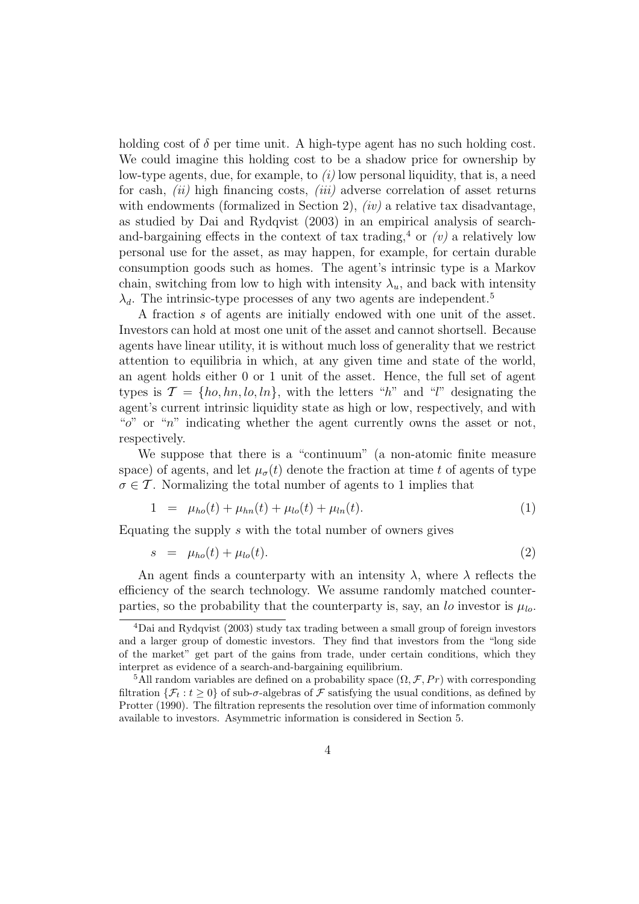holding cost of  $\delta$  per time unit. A high-type agent has no such holding cost. We could imagine this holding cost to be a shadow price for ownership by low-type agents, due, for example, to  $(i)$  low personal liquidity, that is, a need for cash,  $(ii)$  high financing costs,  $(iii)$  adverse correlation of asset returns with endowments (formalized in Section 2),  $(iv)$  a relative tax disadvantage, as studied by Dai and Rydqvist (2003) in an empirical analysis of searchand-bargaining effects in the context of tax trading,<sup>4</sup> or  $(v)$  a relatively low personal use for the asset, as may happen, for example, for certain durable consumption goods such as homes. The agent's intrinsic type is a Markov chain, switching from low to high with intensity  $\lambda_u$ , and back with intensity  $\lambda_d$ . The intrinsic-type processes of any two agents are independent.<sup>5</sup>

A fraction s of agents are initially endowed with one unit of the asset. Investors can hold at most one unit of the asset and cannot shortsell. Because agents have linear utility, it is without much loss of generality that we restrict attention to equilibria in which, at any given time and state of the world, an agent holds either 0 or 1 unit of the asset. Hence, the full set of agent types is  $\mathcal{T} = \{ho, hn, lo, ln\}$ , with the letters "h" and "l" designating the agent's current intrinsic liquidity state as high or low, respectively, and with " $o$ " or "n" indicating whether the agent currently owns the asset or not, respectively.

We suppose that there is a "continuum" (a non-atomic finite measure space) of agents, and let  $\mu_{\sigma}(t)$  denote the fraction at time t of agents of type  $\sigma \in \mathcal{T}$ . Normalizing the total number of agents to 1 implies that

$$
1 = \mu_{ho}(t) + \mu_{hn}(t) + \mu_{lo}(t) + \mu_{ln}(t). \tag{1}
$$

Equating the supply s with the total number of owners gives

$$
s = \mu_{ho}(t) + \mu_{lo}(t). \tag{2}
$$

An agent finds a counterparty with an intensity  $\lambda$ , where  $\lambda$  reflects the efficiency of the search technology. We assume randomly matched counterparties, so the probability that the counterparty is, say, an lo investor is  $\mu_{lo}$ .

<sup>4</sup>Dai and Rydqvist (2003) study tax trading between a small group of foreign investors and a larger group of domestic investors. They find that investors from the "long side of the market" get part of the gains from trade, under certain conditions, which they interpret as evidence of a search-and-bargaining equilibrium.

<sup>&</sup>lt;sup>5</sup>All random variables are defined on a probability space  $(\Omega, \mathcal{F}, Pr)$  with corresponding filtration  $\{\mathcal{F}_t : t \geq 0\}$  of sub- $\sigma$ -algebras of  $\mathcal F$  satisfying the usual conditions, as defined by Protter (1990). The filtration represents the resolution over time of information commonly available to investors. Asymmetric information is considered in Section 5.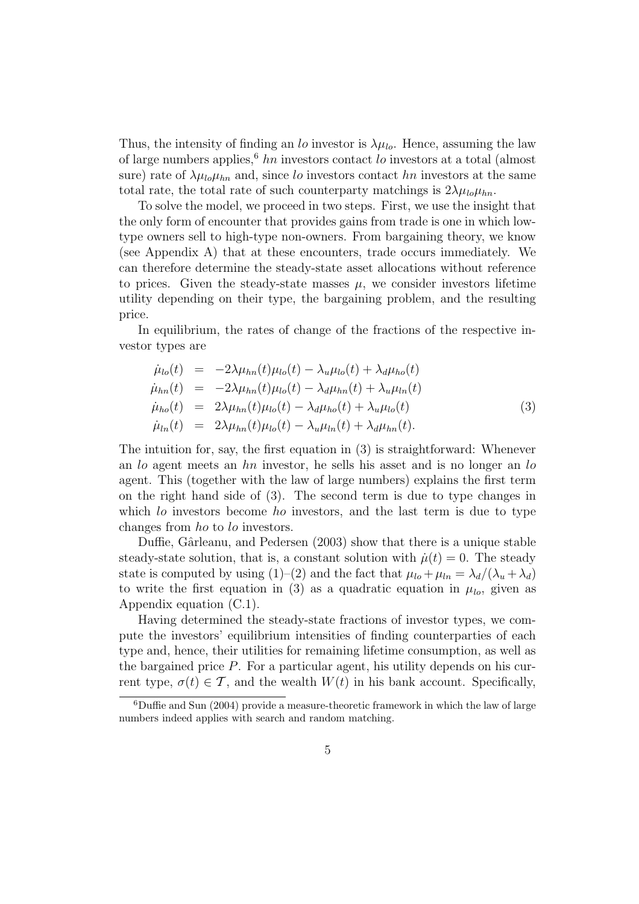Thus, the intensity of finding an lo investor is  $\lambda \mu_{lo}$ . Hence, assuming the law of large numbers applies,<sup>6</sup> hn investors contact lo investors at a total (almost sure) rate of  $\lambda \mu_{lo} \mu_{hn}$  and, since lo investors contact hn investors at the same total rate, the total rate of such counterparty matchings is  $2\lambda\mu_{lo}\mu_{hn}$ .

To solve the model, we proceed in two steps. First, we use the insight that the only form of encounter that provides gains from trade is one in which lowtype owners sell to high-type non-owners. From bargaining theory, we know (see Appendix A) that at these encounters, trade occurs immediately. We can therefore determine the steady-state asset allocations without reference to prices. Given the steady-state masses  $\mu$ , we consider investors lifetime utility depending on their type, the bargaining problem, and the resulting price.

In equilibrium, the rates of change of the fractions of the respective investor types are

$$
\dot{\mu}_{lo}(t) = -2\lambda\mu_{hn}(t)\mu_{lo}(t) - \lambda_u\mu_{lo}(t) + \lambda_d\mu_{ho}(t) \n\dot{\mu}_{hn}(t) = -2\lambda\mu_{hn}(t)\mu_{lo}(t) - \lambda_d\mu_{hn}(t) + \lambda_u\mu_{ln}(t) \n\dot{\mu}_{ho}(t) = 2\lambda\mu_{hn}(t)\mu_{lo}(t) - \lambda_d\mu_{ho}(t) + \lambda_u\mu_{lo}(t) \n\dot{\mu}_{ln}(t) = 2\lambda\mu_{hn}(t)\mu_{lo}(t) - \lambda_u\mu_{ln}(t) + \lambda_d\mu_{hn}(t).
$$
\n(3)

The intuition for, say, the first equation in (3) is straightforward: Whenever an lo agent meets an hn investor, he sells his asset and is no longer an lo agent. This (together with the law of large numbers) explains the first term on the right hand side of (3). The second term is due to type changes in which lo investors become ho investors, and the last term is due to type changes from ho to lo investors.

Duffie, Gârleanu, and Pedersen (2003) show that there is a unique stable steady-state solution, that is, a constant solution with  $\dot{\mu}(t) = 0$ . The steady state is computed by using (1)–(2) and the fact that  $\mu_{lo} + \mu_{ln} = \lambda_d/(\lambda_u + \lambda_d)$ to write the first equation in (3) as a quadratic equation in  $\mu_{lo}$ , given as Appendix equation (C.1).

Having determined the steady-state fractions of investor types, we compute the investors' equilibrium intensities of finding counterparties of each type and, hence, their utilities for remaining lifetime consumption, as well as the bargained price  $P$ . For a particular agent, his utility depends on his current type,  $\sigma(t) \in \mathcal{T}$ , and the wealth  $W(t)$  in his bank account. Specifically,

 ${}^{6}$ Duffie and Sun (2004) provide a measure-theoretic framework in which the law of large numbers indeed applies with search and random matching.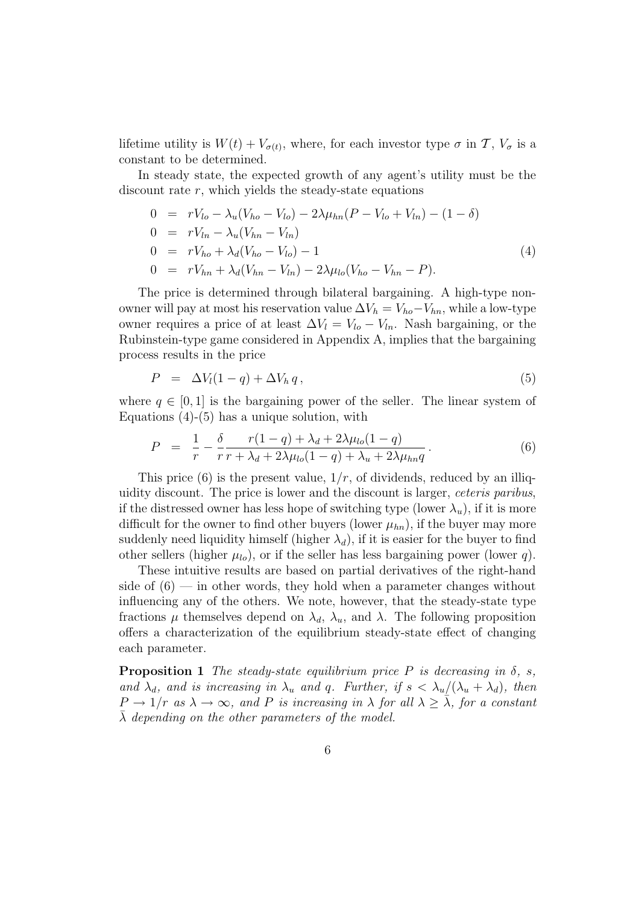lifetime utility is  $W(t) + V_{\sigma(t)}$ , where, for each investor type  $\sigma$  in  $\mathcal{T}, V_{\sigma}$  is a constant to be determined.

In steady state, the expected growth of any agent's utility must be the discount rate  $r$ , which yields the steady-state equations

$$
0 = rV_{lo} - \lambda_u(V_{ho} - V_{lo}) - 2\lambda\mu_{hn}(P - V_{lo} + V_{ln}) - (1 - \delta)
$$
  
\n
$$
0 = rV_{ln} - \lambda_u(V_{hn} - V_{ln})
$$
  
\n
$$
0 = rV_{ho} + \lambda_d(V_{ho} - V_{lo}) - 1
$$
  
\n
$$
0 = rV_{hn} + \lambda_d(V_{hn} - V_{ln}) - 2\lambda\mu_{lo}(V_{ho} - V_{hn} - P).
$$
\n(4)

The price is determined through bilateral bargaining. A high-type nonowner will pay at most his reservation value  $\Delta V_h = V_{ho} - V_{hn}$ , while a low-type owner requires a price of at least  $\Delta V_l = V_{l_o} - V_{l_n}$ . Nash bargaining, or the Rubinstein-type game considered in Appendix A, implies that the bargaining process results in the price

$$
P = \Delta V_l(1-q) + \Delta V_h q, \qquad (5)
$$

where  $q \in [0, 1]$  is the bargaining power of the seller. The linear system of Equations  $(4)-(5)$  has a unique solution, with

$$
P = \frac{1}{r} - \frac{\delta}{r} \frac{r(1-q) + \lambda_d + 2\lambda \mu_{lo}(1-q)}{r + \lambda_d + 2\lambda \mu_{lo}(1-q) + \lambda_u + 2\lambda \mu_{hn} q}.
$$
(6)

This price (6) is the present value,  $1/r$ , of dividends, reduced by an illiquidity discount. The price is lower and the discount is larger, ceteris paribus, if the distressed owner has less hope of switching type (lower  $\lambda_u$ ), if it is more difficult for the owner to find other buyers (lower  $\mu_{hn}$ ), if the buyer may more suddenly need liquidity himself (higher  $\lambda_d$ ), if it is easier for the buyer to find other sellers (higher  $\mu_{lo}$ ), or if the seller has less bargaining power (lower q).

These intuitive results are based on partial derivatives of the right-hand side of  $(6)$  — in other words, they hold when a parameter changes without influencing any of the others. We note, however, that the steady-state type fractions  $\mu$  themselves depend on  $\lambda_d$ ,  $\lambda_u$ , and  $\lambda$ . The following proposition offers a characterization of the equilibrium steady-state effect of changing each parameter.

**Proposition 1** The steady-state equilibrium price P is decreasing in  $\delta$ , s, and  $\lambda_d$ , and is increasing in  $\lambda_u$  and q. Further, if  $s < \lambda_u/(\lambda_u + \lambda_d)$ , then  $P \to 1/r$  as  $\lambda \to \infty$ , and P is increasing in  $\lambda$  for all  $\lambda \geq \overline{\lambda}$ , for a constant  $\lambda$  depending on the other parameters of the model.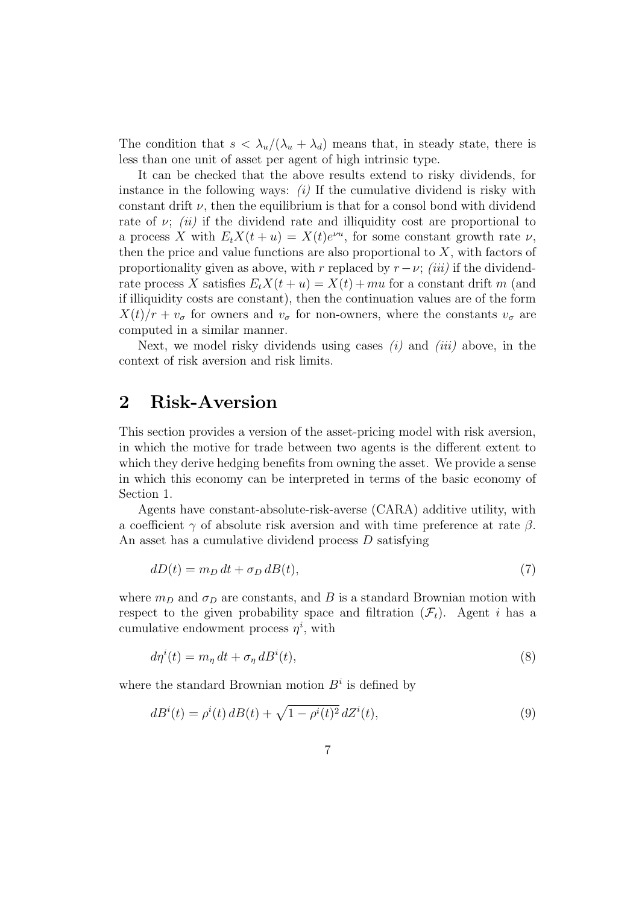The condition that  $s < \lambda_u/(\lambda_u + \lambda_d)$  means that, in steady state, there is less than one unit of asset per agent of high intrinsic type.

It can be checked that the above results extend to risky dividends, for instance in the following ways:  $(i)$  If the cumulative dividend is risky with constant drift  $\nu$ , then the equilibrium is that for a consol bond with dividend rate of  $\nu$ ; (ii) if the dividend rate and illiquidity cost are proportional to a process X with  $E_t X(t+u) = X(t)e^{\nu u}$ , for some constant growth rate  $\nu$ , then the price and value functions are also proportional to  $X$ , with factors of proportionality given as above, with r replaced by  $r-\nu$ ; *(iii)* if the dividendrate process X satisfies  $E_tX(t+u) = X(t) + mu$  for a constant drift m (and if illiquidity costs are constant), then the continuation values are of the form  $X(t)/r + v_{\sigma}$  for owners and  $v_{\sigma}$  for non-owners, where the constants  $v_{\sigma}$  are computed in a similar manner.

Next, we model risky dividends using cases  $(i)$  and  $(iii)$  above, in the context of risk aversion and risk limits.

### 2 Risk-Aversion

This section provides a version of the asset-pricing model with risk aversion, in which the motive for trade between two agents is the different extent to which they derive hedging benefits from owning the asset. We provide a sense in which this economy can be interpreted in terms of the basic economy of Section 1.

Agents have constant-absolute-risk-averse (CARA) additive utility, with a coefficient  $\gamma$  of absolute risk aversion and with time preference at rate  $\beta$ . An asset has a cumulative dividend process D satisfying

$$
dD(t) = m_D dt + \sigma_D dB(t),\tag{7}
$$

where  $m_D$  and  $\sigma_D$  are constants, and B is a standard Brownian motion with respect to the given probability space and filtration  $(\mathcal{F}_t)$ . Agent i has a cumulative endowment process  $\eta^i$ , with

$$
d\eta^{i}(t) = m_{\eta} dt + \sigma_{\eta} dB^{i}(t),
$$
\n(8)

where the standard Brownian motion  $B<sup>i</sup>$  is defined by

$$
dB^{i}(t) = \rho^{i}(t) dB(t) + \sqrt{1 - \rho^{i}(t)^{2}} dZ^{i}(t),
$$
\n(9)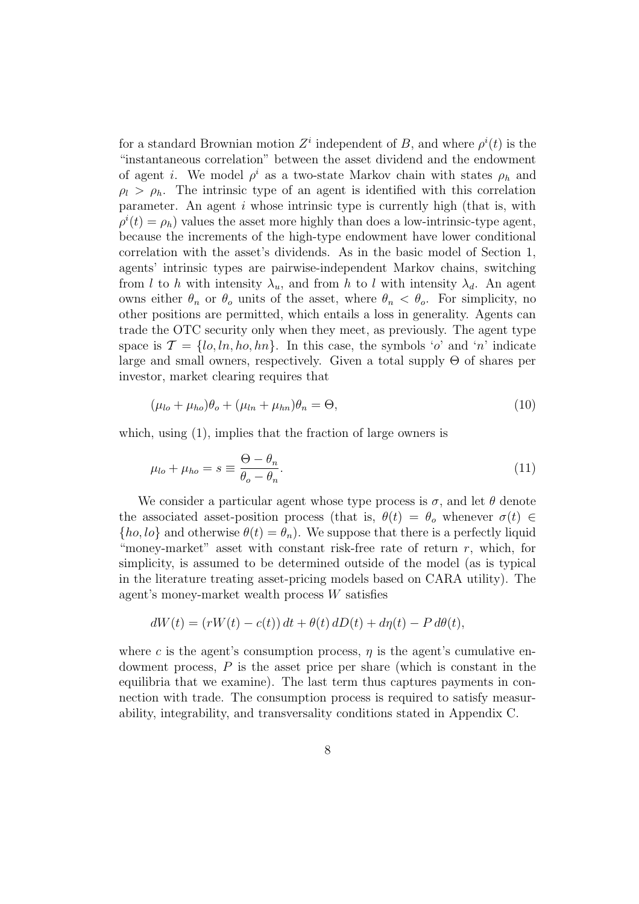for a standard Brownian motion  $Z^i$  independent of B, and where  $\rho^i(t)$  is the "instantaneous correlation" between the asset dividend and the endowment of agent *i*. We model  $\rho^i$  as a two-state Markov chain with states  $\rho_h$  and  $\rho_l > \rho_h$ . The intrinsic type of an agent is identified with this correlation parameter. An agent  $i$  whose intrinsic type is currently high (that is, with  $\rho^{i}(t) = \rho_{h}$ ) values the asset more highly than does a low-intrinsic-type agent, because the increments of the high-type endowment have lower conditional correlation with the asset's dividends. As in the basic model of Section 1, agents' intrinsic types are pairwise-independent Markov chains, switching from l to h with intensity  $\lambda_u$ , and from h to l with intensity  $\lambda_d$ . An agent owns either  $\theta_n$  or  $\theta_o$  units of the asset, where  $\theta_n < \theta_o$ . For simplicity, no other positions are permitted, which entails a loss in generality. Agents can trade the OTC security only when they meet, as previously. The agent type space is  $\mathcal{T} = \{lo, ln, ho, hn\}$ . In this case, the symbols 'o' and 'n' indicate large and small owners, respectively. Given a total supply Θ of shares per investor, market clearing requires that

$$
(\mu_{lo} + \mu_{ho})\theta_o + (\mu_{ln} + \mu_{hn})\theta_n = \Theta,
$$
\n(10)

which, using (1), implies that the fraction of large owners is

$$
\mu_{lo} + \mu_{ho} = s \equiv \frac{\Theta - \theta_n}{\theta_o - \theta_n}.
$$
\n(11)

We consider a particular agent whose type process is  $\sigma$ , and let  $\theta$  denote the associated asset-position process (that is,  $\theta(t) = \theta_o$  whenever  $\sigma(t) \in$  $\{ho, \text{lo}\}\$  and otherwise  $\theta(t) = \theta_n$ . We suppose that there is a perfectly liquid "money-market" asset with constant risk-free rate of return  $r$ , which, for simplicity, is assumed to be determined outside of the model (as is typical in the literature treating asset-pricing models based on CARA utility). The agent's money-market wealth process W satisfies

$$
dW(t) = (rW(t) - c(t)) dt + \theta(t) dD(t) + d\eta(t) - P d\theta(t),
$$

where c is the agent's consumption process,  $\eta$  is the agent's cumulative endowment process,  $P$  is the asset price per share (which is constant in the equilibria that we examine). The last term thus captures payments in connection with trade. The consumption process is required to satisfy measurability, integrability, and transversality conditions stated in Appendix C.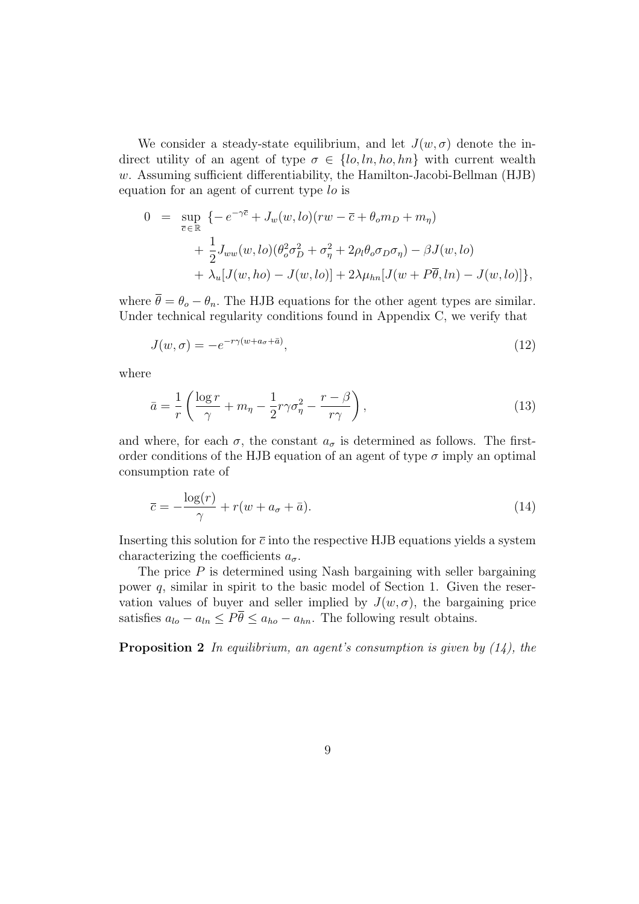We consider a steady-state equilibrium, and let  $J(w, \sigma)$  denote the indirect utility of an agent of type  $\sigma \in \{lo, ln, ho, hn\}$  with current wealth  $w$ . Assuming sufficient differentiability, the Hamilton-Jacobi-Bellman (HJB) equation for an agent of current type lo is

$$
0 = \sup_{\overline{c} \in \mathbb{R}} \left\{ -e^{-\gamma \overline{c}} + J_w(w, lo)(rw - \overline{c} + \theta_o m_D + m_\eta) \right.+ \frac{1}{2} J_{ww}(w, lo)(\theta_o^2 \sigma_D^2 + \sigma_\eta^2 + 2\rho_l \theta_o \sigma_D \sigma_\eta) - \beta J(w, lo)+ \lambda_u [J(w, ho) - J(w, lo)] + 2\lambda \mu_{hn} [J(w + P\overline{\theta}, ln) - J(w, lo)] \right\},
$$

where  $\overline{\theta} = \theta_o - \theta_n$ . The HJB equations for the other agent types are similar. Under technical regularity conditions found in Appendix C, we verify that

$$
J(w, \sigma) = -e^{-r\gamma(w + a_{\sigma} + \bar{a})},\tag{12}
$$

where

$$
\bar{a} = \frac{1}{r} \left( \frac{\log r}{\gamma} + m_{\eta} - \frac{1}{2} r \gamma \sigma_{\eta}^2 - \frac{r - \beta}{r \gamma} \right),\tag{13}
$$

and where, for each  $\sigma$ , the constant  $a_{\sigma}$  is determined as follows. The firstorder conditions of the HJB equation of an agent of type  $\sigma$  imply an optimal consumption rate of

$$
\overline{c} = -\frac{\log(r)}{\gamma} + r(w + a_{\sigma} + \bar{a}).\tag{14}
$$

Inserting this solution for  $\bar{c}$  into the respective HJB equations yields a system characterizing the coefficients  $a_{\sigma}$ .

The price  $P$  is determined using Nash bargaining with seller bargaining power q, similar in spirit to the basic model of Section 1. Given the reservation values of buyer and seller implied by  $J(w, \sigma)$ , the bargaining price satisfies  $a_{lo} - a_{ln} \leq P\overline{\theta} \leq a_{ho} - a_{hn}$ . The following result obtains.

**Proposition 2** In equilibrium, an agent's consumption is given by  $(14)$ , the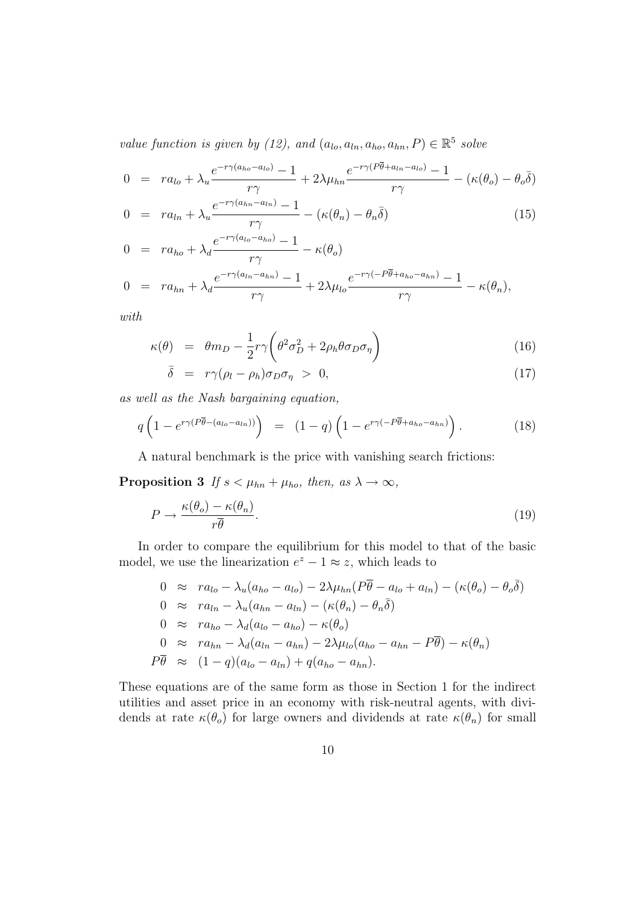value function is given by (12), and  $(a_{l_o}, a_{l_n}, a_{ho}, a_{hn}, P) \in \mathbb{R}^5$  solve

$$
0 = ra_{lo} + \lambda_u \frac{e^{-r\gamma(a_{ho} - a_{lo})} - 1}{r\gamma} + 2\lambda \mu_{hn} \frac{e^{-r\gamma(P\overline{\theta} + a_{ln} - a_{lo})} - 1}{r\gamma} - (\kappa(\theta_o) - \theta_o \overline{\delta})
$$

$$
0 = ra_{ln} + \lambda_u \frac{e^{-r_1(a_{hn}-a_{ln})} - 1}{r\gamma} - (\kappa(\theta_n) - \theta_n \bar{\delta})
$$
\n(15)

$$
0 = ra_{ho} + \lambda_d \frac{e^{-r\gamma(a_{lo} - a_{ho})} - 1}{r\gamma} - \kappa(\theta_o)
$$
  
\n
$$
0 = ra_{hn} + \lambda_d \frac{e^{-r\gamma(a_{ln} - a_{hn})} - 1}{r\gamma} + 2\lambda \mu_{lo} \frac{e^{-r\gamma(-P\overline{\theta} + a_{ho} - a_{hn})} - 1}{r\gamma} - \kappa(\theta_n),
$$

with

$$
\kappa(\theta) = \theta m_D - \frac{1}{2} r \gamma \left( \theta^2 \sigma_D^2 + 2 \rho_h \theta \sigma_D \sigma_\eta \right) \tag{16}
$$

$$
\bar{\delta} = r\gamma(\rho_l - \rho_h)\sigma_D\sigma_\eta > 0, \qquad (17)
$$

as well as the Nash bargaining equation,

$$
q\left(1 - e^{r\gamma(P\overline{\theta} - (a_{lo} - a_{ln}))}\right) = (1 - q)\left(1 - e^{r\gamma(-P\overline{\theta} + a_{ho} - a_{hn})}\right). \tag{18}
$$

A natural benchmark is the price with vanishing search frictions:

**Proposition 3** If  $s < \mu_{hn} + \mu_{ho}$ , then, as  $\lambda \to \infty$ ,

$$
P \to \frac{\kappa(\theta_o) - \kappa(\theta_n)}{r\overline{\theta}}.\tag{19}
$$

In order to compare the equilibrium for this model to that of the basic model, we use the linearization  $e^z - 1 \approx z$ , which leads to

$$
0 \approx ra_{lo} - \lambda_u(a_{ho} - a_{lo}) - 2\lambda\mu_{hn}(P\overline{\theta} - a_{lo} + a_{ln}) - (\kappa(\theta_o) - \theta_o\overline{\delta})
$$
  
\n
$$
0 \approx ra_{ln} - \lambda_u(a_{hn} - a_{ln}) - (\kappa(\theta_n) - \theta_n\overline{\delta})
$$
  
\n
$$
0 \approx ra_{ho} - \lambda_d(a_{lo} - a_{ho}) - \kappa(\theta_o)
$$
  
\n
$$
0 \approx ra_{hn} - \lambda_d(a_{ln} - a_{hn}) - 2\lambda\mu_{lo}(a_{ho} - a_{hn} - P\overline{\theta}) - \kappa(\theta_n)
$$
  
\n
$$
P\overline{\theta} \approx (1-q)(a_{lo} - a_{ln}) + q(a_{ho} - a_{hn}).
$$

These equations are of the same form as those in Section 1 for the indirect utilities and asset price in an economy with risk-neutral agents, with dividends at rate  $\kappa(\theta_o)$  for large owners and dividends at rate  $\kappa(\theta_n)$  for small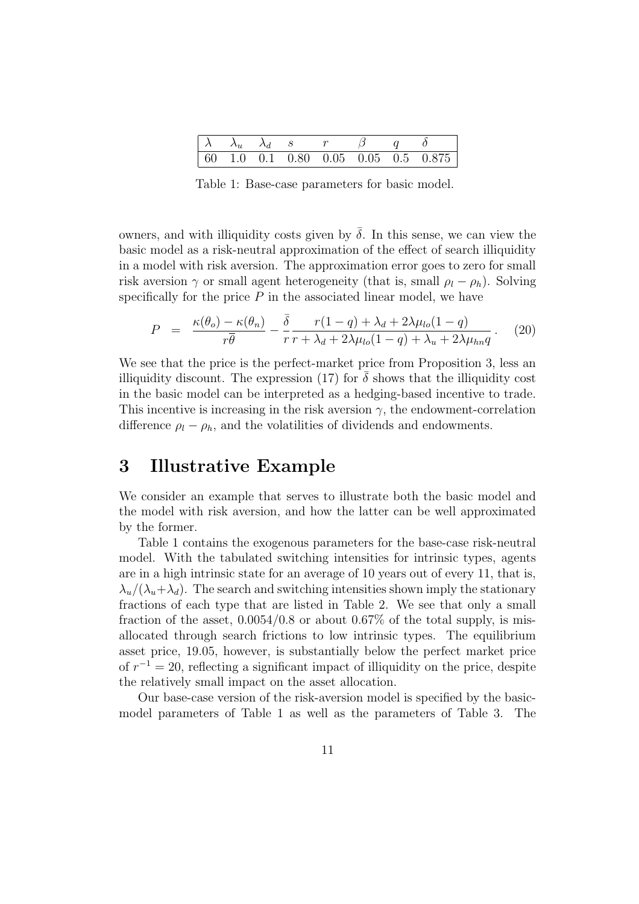|  |  | $\lambda$ $\lambda_u$ $\lambda_d$ s r $\beta$ q $\delta$ |                                     |
|--|--|----------------------------------------------------------|-------------------------------------|
|  |  |                                                          | 60 1.0 0.1 0.80 0.05 0.05 0.5 0.875 |

Table 1: Base-case parameters for basic model.

owners, and with illiquidity costs given by  $\bar{\delta}$ . In this sense, we can view the basic model as a risk-neutral approximation of the effect of search illiquidity in a model with risk aversion. The approximation error goes to zero for small risk aversion  $\gamma$  or small agent heterogeneity (that is, small  $\rho_l - \rho_h$ ). Solving specifically for the price  $P$  in the associated linear model, we have

$$
P = \frac{\kappa(\theta_o) - \kappa(\theta_n)}{r\overline{\theta}} - \frac{\overline{\delta}}{r} \frac{r(1-q) + \lambda_d + 2\lambda\mu_{lo}(1-q)}{r + \lambda_d + 2\lambda\mu_{lo}(1-q) + \lambda_u + 2\lambda\mu_{hn}q}.
$$
 (20)

We see that the price is the perfect-market price from Proposition 3, less an illiquidity discount. The expression (17) for  $\delta$  shows that the illiquidity cost in the basic model can be interpreted as a hedging-based incentive to trade. This incentive is increasing in the risk aversion  $\gamma$ , the endowment-correlation difference  $\rho_l - \rho_h$ , and the volatilities of dividends and endowments.

## 3 Illustrative Example

We consider an example that serves to illustrate both the basic model and the model with risk aversion, and how the latter can be well approximated by the former.

Table 1 contains the exogenous parameters for the base-case risk-neutral model. With the tabulated switching intensities for intrinsic types, agents are in a high intrinsic state for an average of 10 years out of every 11, that is,  $\lambda_u/(\lambda_u+\lambda_d)$ . The search and switching intensities shown imply the stationary fractions of each type that are listed in Table 2. We see that only a small fraction of the asset,  $0.0054/0.8$  or about  $0.67\%$  of the total supply, is misallocated through search frictions to low intrinsic types. The equilibrium asset price, 19.05, however, is substantially below the perfect market price of  $r^{-1} = 20$ , reflecting a significant impact of illiquidity on the price, despite the relatively small impact on the asset allocation.

Our base-case version of the risk-aversion model is specified by the basicmodel parameters of Table 1 as well as the parameters of Table 3. The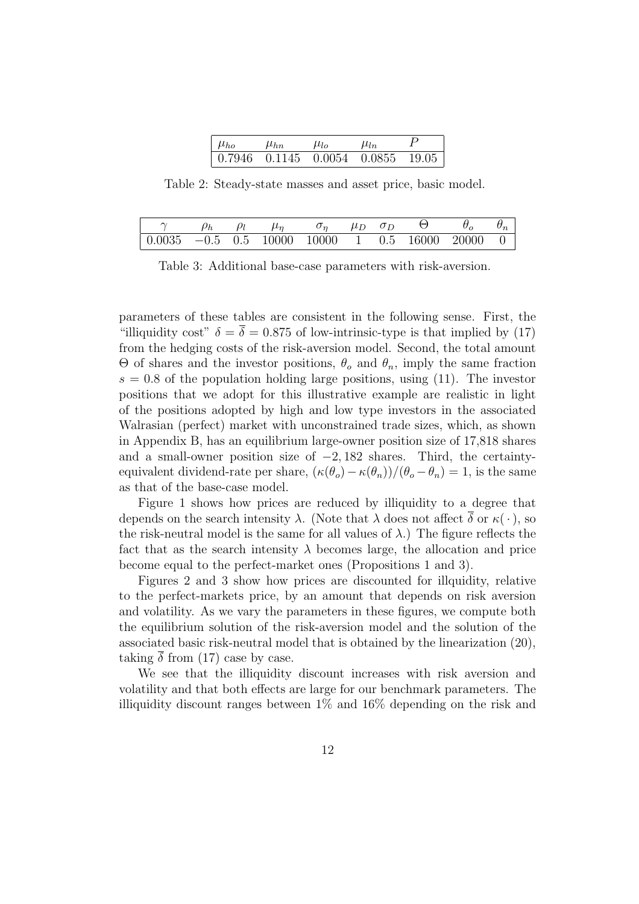| $\mu_{ho}$ | $\mu_{hn}$ | $\mu_{lo}$                        | $\mu_{ln}$ |  |
|------------|------------|-----------------------------------|------------|--|
|            |            | 0.7946 0.1145 0.0054 0.0855 19.05 |            |  |

Table 2: Steady-state masses and asset price, basic model.

|                                                                                                               |  | $\mu_n$ | $\mu_D$ | $O_{D}$ |  |  |
|---------------------------------------------------------------------------------------------------------------|--|---------|---------|---------|--|--|
| $\vert 0.0035 \vert -0.5 \vert 0.5 \vert 10000 \vert 10000 \vert 1 \vert 0.5 \vert 16000 \vert 20000 \vert 0$ |  |         |         |         |  |  |

Table 3: Additional base-case parameters with risk-aversion.

parameters of these tables are consistent in the following sense. First, the "illiquidity cost"  $\delta = \overline{\delta} = 0.875$  of low-intrinsic-type is that implied by (17) from the hedging costs of the risk-aversion model. Second, the total amount Θ of shares and the investor positions,  $θ$ <sub>o</sub> and  $θ$ <sub>n</sub>, imply the same fraction  $s = 0.8$  of the population holding large positions, using (11). The investor positions that we adopt for this illustrative example are realistic in light of the positions adopted by high and low type investors in the associated Walrasian (perfect) market with unconstrained trade sizes, which, as shown in Appendix B, has an equilibrium large-owner position size of 17,818 shares and a small-owner position size of −2, 182 shares. Third, the certaintyequivalent dividend-rate per share,  $(\kappa(\theta_o) - \kappa(\theta_n))/(\theta_o - \theta_n) = 1$ , is the same as that of the base-case model.

Figure 1 shows how prices are reduced by illiquidity to a degree that depends on the search intensity  $\lambda$ . (Note that  $\lambda$  does not affect  $\delta$  or  $\kappa(\cdot)$ , so the risk-neutral model is the same for all values of  $\lambda$ .) The figure reflects the fact that as the search intensity  $\lambda$  becomes large, the allocation and price become equal to the perfect-market ones (Propositions 1 and 3).

Figures 2 and 3 show how prices are discounted for illquidity, relative to the perfect-markets price, by an amount that depends on risk aversion and volatility. As we vary the parameters in these figures, we compute both the equilibrium solution of the risk-aversion model and the solution of the associated basic risk-neutral model that is obtained by the linearization (20), taking  $\overline{\delta}$  from (17) case by case.

We see that the illiquidity discount increases with risk aversion and volatility and that both effects are large for our benchmark parameters. The illiquidity discount ranges between  $1\%$  and  $16\%$  depending on the risk and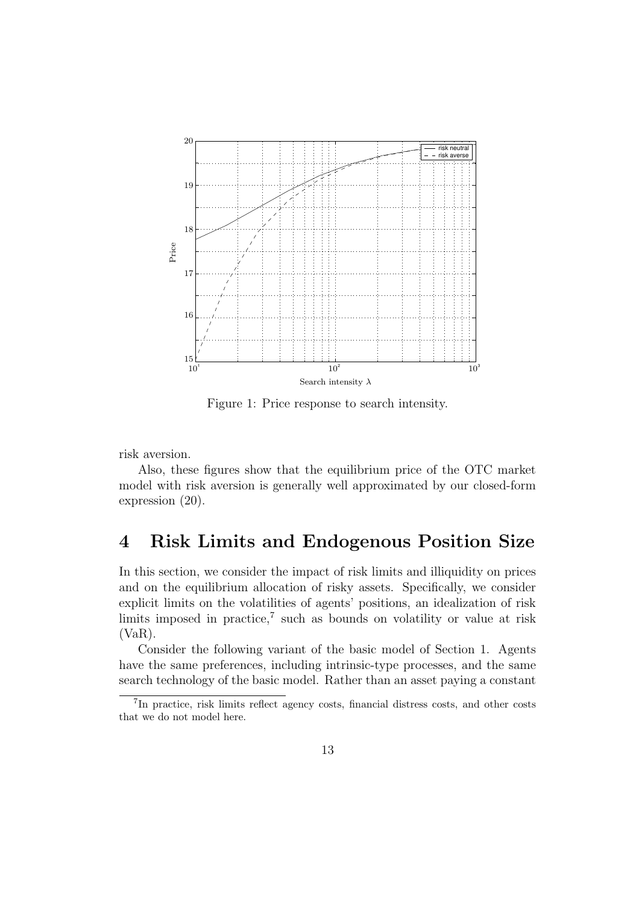

Figure 1: Price response to search intensity.

risk aversion.

Also, these figures show that the equilibrium price of the OTC market model with risk aversion is generally well approximated by our closed-form expression (20).

### 4 Risk Limits and Endogenous Position Size

In this section, we consider the impact of risk limits and illiquidity on prices and on the equilibrium allocation of risky assets. Specifically, we consider explicit limits on the volatilities of agents' positions, an idealization of risk limits imposed in practice,<sup>7</sup> such as bounds on volatility or value at risk (VaR).

Consider the following variant of the basic model of Section 1. Agents have the same preferences, including intrinsic-type processes, and the same search technology of the basic model. Rather than an asset paying a constant

<sup>7</sup> In practice, risk limits reflect agency costs, financial distress costs, and other costs that we do not model here.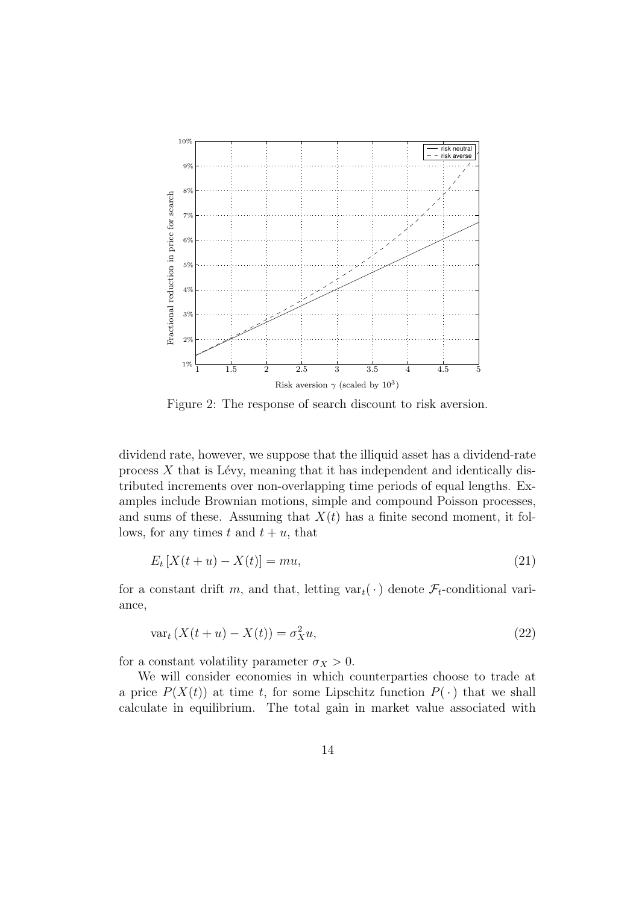

Figure 2: The response of search discount to risk aversion.

dividend rate, however, we suppose that the illiquid asset has a dividend-rate process  $X$  that is Lévy, meaning that it has independent and identically distributed increments over non-overlapping time periods of equal lengths. Examples include Brownian motions, simple and compound Poisson processes, and sums of these. Assuming that  $X(t)$  has a finite second moment, it follows, for any times t and  $t + u$ , that

$$
E_t \left[ X(t+u) - X(t) \right] = mu,
$$
\n(21)

for a constant drift m, and that, letting  $var_t(\cdot)$  denote  $\mathcal{F}_t$ -conditional variance,

$$
\text{var}_t\left(X(t+u) - X(t)\right) = \sigma_X^2 u,\tag{22}
$$

for a constant volatility parameter  $\sigma_X > 0$ .

We will consider economies in which counterparties choose to trade at a price  $P(X(t))$  at time t, for some Lipschitz function  $P(\cdot)$  that we shall calculate in equilibrium. The total gain in market value associated with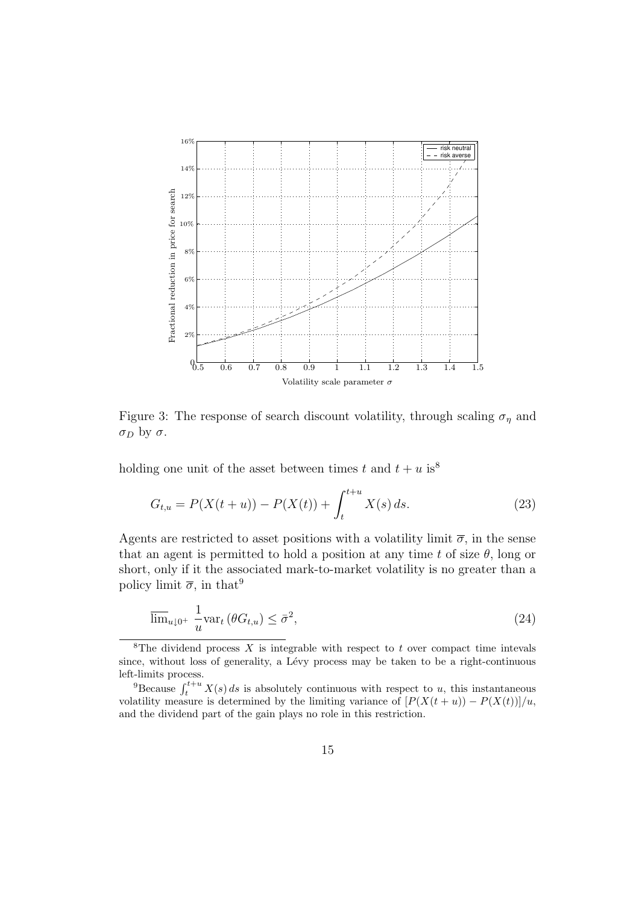

Figure 3: The response of search discount volatility, through scaling  $\sigma_{\eta}$  and  $\sigma_D$  by  $\sigma$ .

holding one unit of the asset between times t and  $t + u$  is<sup>8</sup>

$$
G_{t,u} = P(X(t+u)) - P(X(t)) + \int_{t}^{t+u} X(s) ds.
$$
 (23)

Agents are restricted to asset positions with a volatility limit  $\bar{\sigma}$ , in the sense that an agent is permitted to hold a position at any time t of size  $\theta$ , long or short, only if it the associated mark-to-market volatility is no greater than a policy limit  $\overline{\sigma}$ , in that<sup>9</sup>

$$
\overline{\lim}_{u \downarrow 0^{+}} \frac{1}{u} \text{var}_{t} \left( \theta G_{t,u} \right) \le \bar{\sigma}^{2},\tag{24}
$$

<sup>&</sup>lt;sup>8</sup>The dividend process  $X$  is integrable with respect to  $t$  over compact time intevals since, without loss of generality, a Lévy process may be taken to be a right-continuous left-limits process.

<sup>&</sup>lt;sup>9</sup>Because  $\int_t^{t+u} X(s) ds$  is absolutely continuous with respect to u, this instantaneous volatility measure is determined by the limiting variance of  $[P(X(t + u)) - P(X(t))] / u$ , and the dividend part of the gain plays no role in this restriction.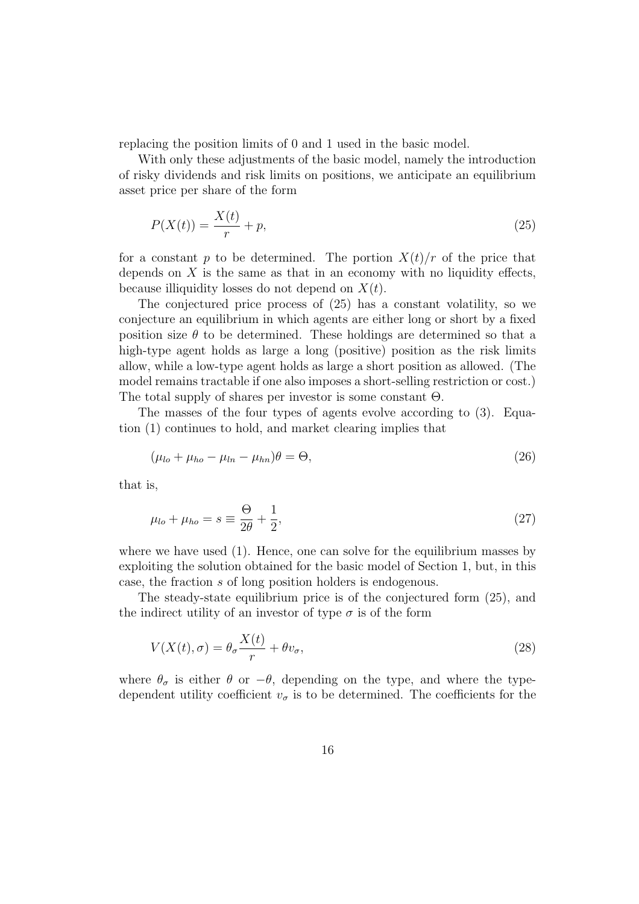replacing the position limits of 0 and 1 used in the basic model.

With only these adjustments of the basic model, namely the introduction of risky dividends and risk limits on positions, we anticipate an equilibrium asset price per share of the form

$$
P(X(t)) = \frac{X(t)}{r} + p,\tag{25}
$$

for a constant p to be determined. The portion  $X(t)/r$  of the price that depends on  $X$  is the same as that in an economy with no liquidity effects, because illiquidity losses do not depend on  $X(t)$ .

The conjectured price process of (25) has a constant volatility, so we conjecture an equilibrium in which agents are either long or short by a fixed position size  $\theta$  to be determined. These holdings are determined so that a high-type agent holds as large a long (positive) position as the risk limits allow, while a low-type agent holds as large a short position as allowed. (The model remains tractable if one also imposes a short-selling restriction or cost.) The total supply of shares per investor is some constant  $\Theta$ .

The masses of the four types of agents evolve according to (3). Equation (1) continues to hold, and market clearing implies that

$$
(\mu_{lo} + \mu_{ho} - \mu_{ln} - \mu_{hn})\theta = \Theta,
$$
\n(26)

that is,

$$
\mu_{lo} + \mu_{ho} = s \equiv \frac{\Theta}{2\theta} + \frac{1}{2},\tag{27}
$$

where we have used (1). Hence, one can solve for the equilibrium masses by exploiting the solution obtained for the basic model of Section 1, but, in this case, the fraction s of long position holders is endogenous.

The steady-state equilibrium price is of the conjectured form (25), and the indirect utility of an investor of type  $\sigma$  is of the form

$$
V(X(t), \sigma) = \theta_{\sigma} \frac{X(t)}{r} + \theta v_{\sigma},
$$
\n(28)

where  $\theta_{\sigma}$  is either  $\theta$  or  $-\theta$ , depending on the type, and where the typedependent utility coefficient  $v_{\sigma}$  is to be determined. The coefficients for the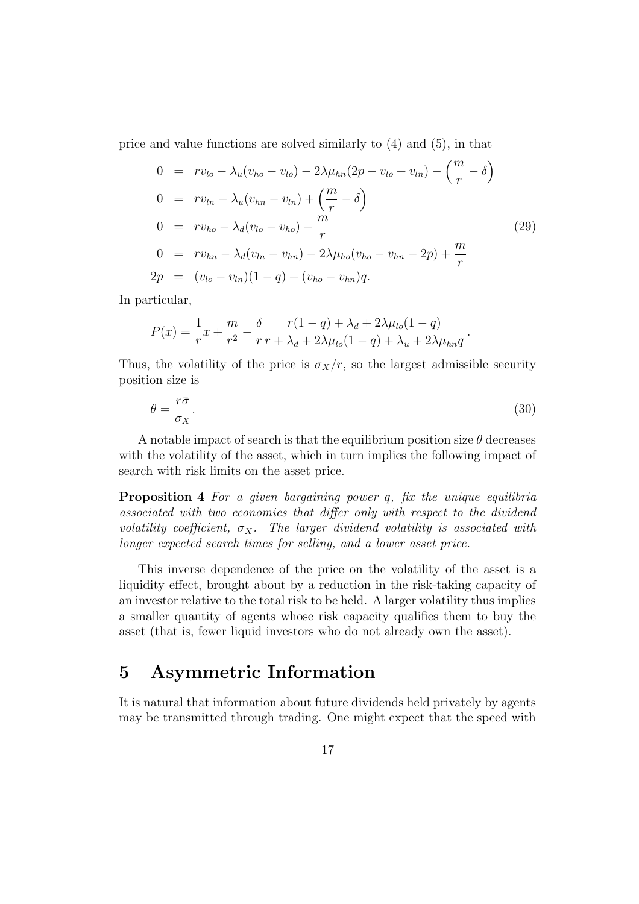price and value functions are solved similarly to (4) and (5), in that

$$
0 = rv_{lo} - \lambda_u (v_{ho} - v_{lo}) - 2\lambda \mu_{hn} (2p - v_{lo} + v_{ln}) - \left(\frac{m}{r} - \delta\right)
$$
  
\n
$$
0 = rv_{ln} - \lambda_u (v_{hn} - v_{ln}) + \left(\frac{m}{r} - \delta\right)
$$
  
\n
$$
0 = rv_{ho} - \lambda_d (v_{lo} - v_{ho}) - \frac{m}{r}
$$
  
\n
$$
0 = rv_{hn} - \lambda_d (v_{ln} - v_{hn}) - 2\lambda \mu_{ho} (v_{ho} - v_{hn} - 2p) + \frac{m}{r}
$$
  
\n
$$
2p = (v_{lo} - v_{ln})(1 - q) + (v_{ho} - v_{hn})q.
$$
  
\n(29)

In particular,

$$
P(x) = \frac{1}{r}x + \frac{m}{r^2} - \frac{\delta}{r} \frac{r(1-q) + \lambda_d + 2\lambda \mu_{lo}(1-q)}{r + \lambda_d + 2\lambda \mu_{lo}(1-q) + \lambda_u + 2\lambda \mu_{hn}q}
$$

Thus, the volatility of the price is  $\sigma_X/r$ , so the largest admissible security position size is

$$
\theta = \frac{r\bar{\sigma}}{\sigma_X}.\tag{30}
$$

.

A notable impact of search is that the equilibrium position size  $\theta$  decreases with the volatility of the asset, which in turn implies the following impact of search with risk limits on the asset price.

**Proposition 4** For a given bargaining power q, fix the unique equilibria associated with two economies that differ only with respect to the dividend volatility coefficient,  $\sigma_X$ . The larger dividend volatility is associated with longer expected search times for selling, and a lower asset price.

This inverse dependence of the price on the volatility of the asset is a liquidity effect, brought about by a reduction in the risk-taking capacity of an investor relative to the total risk to be held. A larger volatility thus implies a smaller quantity of agents whose risk capacity qualifies them to buy the asset (that is, fewer liquid investors who do not already own the asset).

### 5 Asymmetric Information

It is natural that information about future dividends held privately by agents may be transmitted through trading. One might expect that the speed with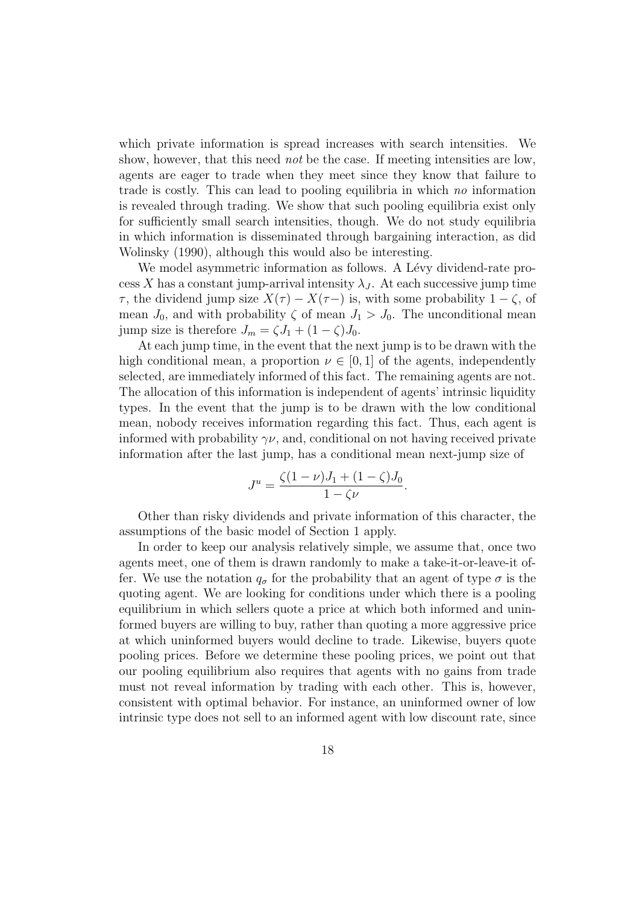which private information is spread increases with search intensities. We show, however, that this need *not* be the case. If meeting intensities are low, agents are eager to trade when they meet since they know that failure to trade is costly. This can lead to pooling equilibria in which no information is revealed through trading. We show that such pooling equilibria exist only for sufficiently small search intensities, though. We do not study equilibria in which information is disseminated through bargaining interaction, as did Wolinsky (1990), although this would also be interesting.

We model asymmetric information as follows. A Lévy dividend-rate process X has a constant jump-arrival intensity  $\lambda_J$ . At each successive jump time  $\tau$ , the dividend jump size  $X(\tau) - X(\tau)$  is, with some probability  $1 - \zeta$ , of mean  $J_0$ , and with probability  $\zeta$  of mean  $J_1 > J_0$ . The unconditional mean jump size is therefore  $J_m = \zeta J_1 + (1 - \zeta) J_0$ .

At each jump time, in the event that the next jump is to be drawn with the high conditional mean, a proportion  $\nu \in [0,1]$  of the agents, independently selected, are immediately informed of this fact. The remaining agents are not. The allocation of this information is independent of agents' intrinsic liquidity types. In the event that the jump is to be drawn with the low conditional mean, nobody receives information regarding this fact. Thus, each agent is informed with probability  $\gamma\nu$ , and, conditional on not having received private information after the last jump, has a conditional mean next-jump size of

$$
J^{u} = \frac{\zeta(1-\nu)J_{1} + (1-\zeta)J_{0}}{1-\zeta\nu}.
$$

Other than risky dividends and private information of this character, the assumptions of the basic model of Section 1 apply.

In order to keep our analysis relatively simple, we assume that, once two agents meet, one of them is drawn randomly to make a take-it-or-leave-it offer. We use the notation  $q_{\sigma}$  for the probability that an agent of type  $\sigma$  is the quoting agent. We are looking for conditions under which there is a pooling equilibrium in which sellers quote a price at which both informed and uninformed buyers are willing to buy, rather than quoting a more aggressive price at which uninformed buyers would decline to trade. Likewise, buyers quote pooling prices. Before we determine these pooling prices, we point out that our pooling equilibrium also requires that agents with no gains from trade must not reveal information by trading with each other. This is, however, consistent with optimal behavior. For instance, an uninformed owner of low intrinsic type does not sell to an informed agent with low discount rate, since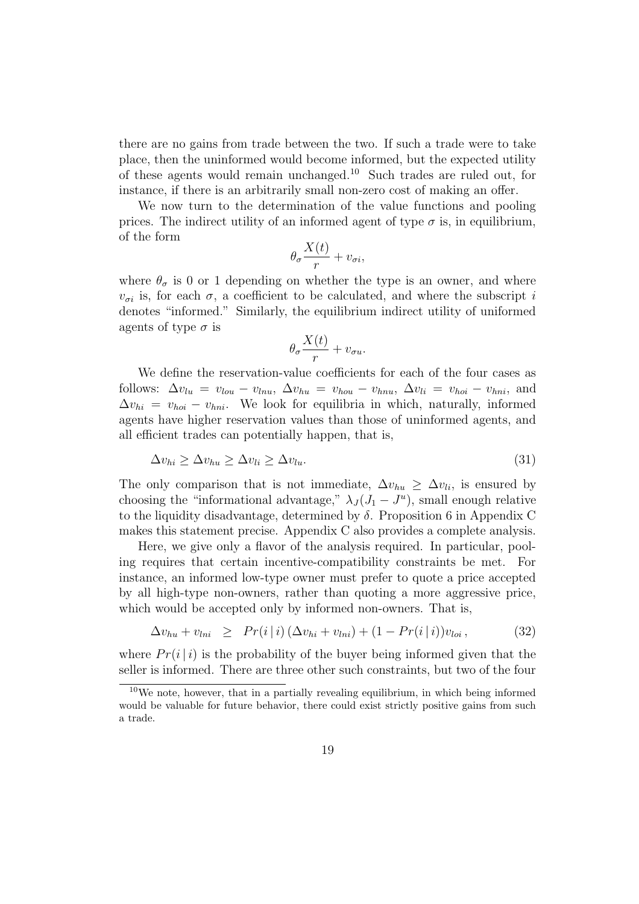there are no gains from trade between the two. If such a trade were to take place, then the uninformed would become informed, but the expected utility of these agents would remain unchanged.<sup>10</sup> Such trades are ruled out, for instance, if there is an arbitrarily small non-zero cost of making an offer.

We now turn to the determination of the value functions and pooling prices. The indirect utility of an informed agent of type  $\sigma$  is, in equilibrium, of the form

$$
\theta_{\sigma} \frac{X(t)}{r} + v_{\sigma i},
$$

where  $\theta_{\sigma}$  is 0 or 1 depending on whether the type is an owner, and where  $v_{\sigma i}$  is, for each  $\sigma$ , a coefficient to be calculated, and where the subscript i denotes "informed." Similarly, the equilibrium indirect utility of uniformed agents of type  $\sigma$  is

$$
\theta_{\sigma} \frac{X(t)}{r} + v_{\sigma u}.
$$

We define the reservation-value coefficients for each of the four cases as follows:  $\Delta v_{lu} = v_{lou} - v_{lnu}, \ \Delta v_{hu} = v_{hou} - v_{hnu}, \ \Delta v_{li} = v_{hoi} - v_{hni}, \text{and}$  $\Delta v_{hi} = v_{hoi} - v_{hni}$ . We look for equilibria in which, naturally, informed agents have higher reservation values than those of uninformed agents, and all efficient trades can potentially happen, that is,

$$
\Delta v_{hi} \ge \Delta v_{hu} \ge \Delta v_{li} \ge \Delta v_{lu}.\tag{31}
$$

The only comparison that is not immediate,  $\Delta v_{hu} \geq \Delta v_{li}$ , is ensured by choosing the "informational advantage,"  $\lambda_J (J_1 - J^u)$ , small enough relative to the liquidity disadvantage, determined by  $\delta$ . Proposition 6 in Appendix C makes this statement precise. Appendix C also provides a complete analysis.

Here, we give only a flavor of the analysis required. In particular, pooling requires that certain incentive-compatibility constraints be met. For instance, an informed low-type owner must prefer to quote a price accepted by all high-type non-owners, rather than quoting a more aggressive price, which would be accepted only by informed non-owners. That is,

$$
\Delta v_{hu} + v_{lni} \ge Pr(i|i) (\Delta v_{hi} + v_{lni}) + (1 - Pr(i|i))v_{loi}, \qquad (32)
$$

where  $Pr(i|i)$  is the probability of the buyer being informed given that the seller is informed. There are three other such constraints, but two of the four

 $10$ We note, however, that in a partially revealing equilibrium, in which being informed would be valuable for future behavior, there could exist strictly positive gains from such a trade.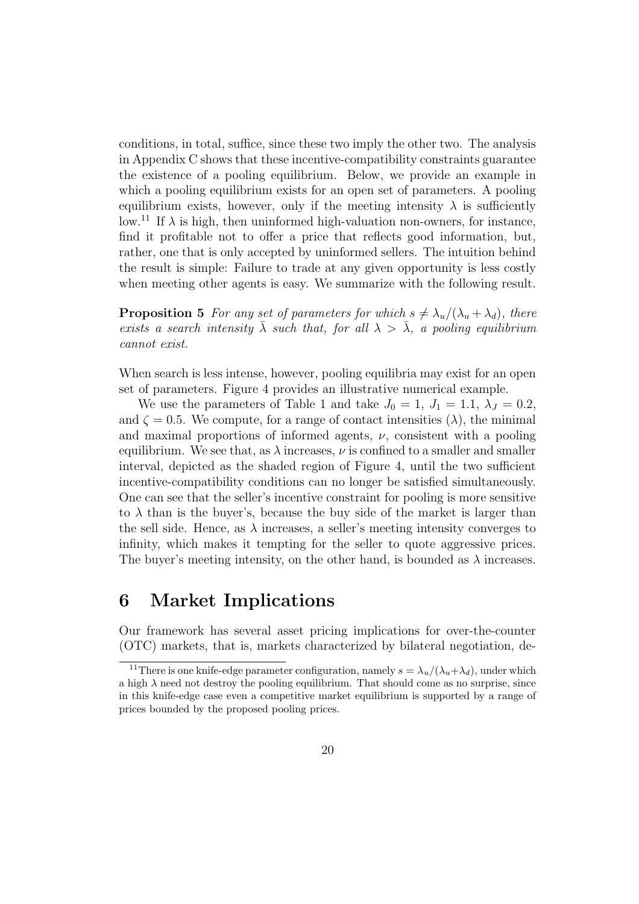conditions, in total, suffice, since these two imply the other two. The analysis in Appendix C shows that these incentive-compatibility constraints guarantee the existence of a pooling equilibrium. Below, we provide an example in which a pooling equilibrium exists for an open set of parameters. A pooling equilibrium exists, however, only if the meeting intensity  $\lambda$  is sufficiently low.<sup>11</sup> If  $\lambda$  is high, then uninformed high-valuation non-owners, for instance, find it profitable not to offer a price that reflects good information, but, rather, one that is only accepted by uninformed sellers. The intuition behind the result is simple: Failure to trade at any given opportunity is less costly when meeting other agents is easy. We summarize with the following result.

**Proposition 5** For any set of parameters for which  $s \neq \lambda_u/(\lambda_u + \lambda_d)$ , there exists a search intensity  $\bar{\lambda}$  such that, for all  $\lambda > \bar{\lambda}$ , a pooling equilibrium cannot exist.

When search is less intense, however, pooling equilibria may exist for an open set of parameters. Figure 4 provides an illustrative numerical example.

We use the parameters of Table 1 and take  $J_0 = 1$ ,  $J_1 = 1.1$ ,  $\lambda_J = 0.2$ , and  $\zeta = 0.5$ . We compute, for a range of contact intensities  $(\lambda)$ , the minimal and maximal proportions of informed agents,  $\nu$ , consistent with a pooling equilibrium. We see that, as  $\lambda$  increases,  $\nu$  is confined to a smaller and smaller interval, depicted as the shaded region of Figure 4, until the two sufficient incentive-compatibility conditions can no longer be satisfied simultaneously. One can see that the seller's incentive constraint for pooling is more sensitive to  $\lambda$  than is the buyer's, because the buy side of the market is larger than the sell side. Hence, as  $\lambda$  increases, a seller's meeting intensity converges to infinity, which makes it tempting for the seller to quote aggressive prices. The buyer's meeting intensity, on the other hand, is bounded as  $\lambda$  increases.

### 6 Market Implications

Our framework has several asset pricing implications for over-the-counter (OTC) markets, that is, markets characterized by bilateral negotiation, de-

<sup>&</sup>lt;sup>11</sup>There is one knife-edge parameter configuration, namely  $s = \lambda_u/(\lambda_u + \lambda_d)$ , under which a high  $\lambda$  need not destroy the pooling equilibrium. That should come as no surprise, since in this knife-edge case even a competitive market equilibrium is supported by a range of prices bounded by the proposed pooling prices.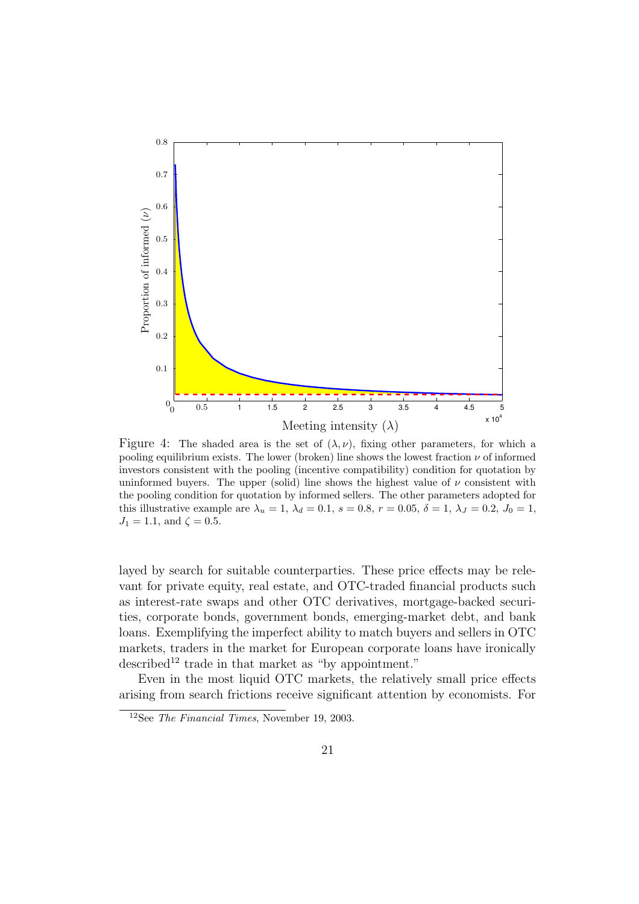### PSfrag replacements



Figure 4: The shaded area is the set of  $(\lambda, \nu)$ , fixing other parameters, for which a pooling equilibrium exists. The lower (broken) line shows the lowest fraction  $\nu$  of informed investors consistent with the pooling (incentive compatibility) condition for quotation by uninformed buyers. The upper (solid) line shows the highest value of  $\nu$  consistent with the pooling condition for quotation by informed sellers. The other parameters adopted for this illustrative example are  $\lambda_u = 1$ ,  $\lambda_d = 0.1$ ,  $s = 0.8$ ,  $r = 0.05$ ,  $\delta = 1$ ,  $\lambda_J = 0.2$ ,  $J_0 = 1$ ,  $J_1 = 1.1$ , and  $\zeta = 0.5$ .

layed by search for suitable counterparties. These price effects may be relevant for private equity, real estate, and OTC-traded financial products such as interest-rate swaps and other OTC derivatives, mortgage-backed securities, corporate bonds, government bonds, emerging-market debt, and bank loans. Exemplifying the imperfect ability to match buyers and sellers in OTC markets, traders in the market for European corporate loans have ironically described<sup>12</sup> trade in that market as "by appointment."

Even in the most liquid OTC markets, the relatively small price effects arising from search frictions receive significant attention by economists. For

<sup>12</sup>See The Financial Times, November 19, 2003.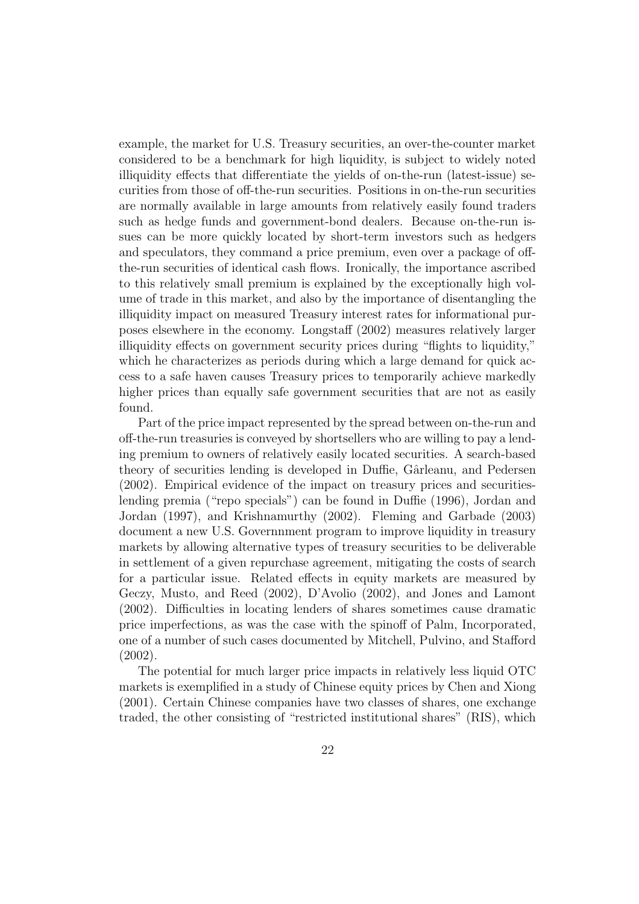example, the market for U.S. Treasury securities, an over-the-counter market considered to be a benchmark for high liquidity, is subject to widely noted illiquidity effects that differentiate the yields of on-the-run (latest-issue) securities from those of off-the-run securities. Positions in on-the-run securities are normally available in large amounts from relatively easily found traders such as hedge funds and government-bond dealers. Because on-the-run issues can be more quickly located by short-term investors such as hedgers and speculators, they command a price premium, even over a package of offthe-run securities of identical cash flows. Ironically, the importance ascribed to this relatively small premium is explained by the exceptionally high volume of trade in this market, and also by the importance of disentangling the illiquidity impact on measured Treasury interest rates for informational purposes elsewhere in the economy. Longstaff (2002) measures relatively larger illiquidity effects on government security prices during "flights to liquidity," which he characterizes as periods during which a large demand for quick access to a safe haven causes Treasury prices to temporarily achieve markedly higher prices than equally safe government securities that are not as easily found.

Part of the price impact represented by the spread between on-the-run and off-the-run treasuries is conveyed by shortsellers who are willing to pay a lending premium to owners of relatively easily located securities. A search-based theory of securities lending is developed in Duffie, Gârleanu, and Pedersen (2002). Empirical evidence of the impact on treasury prices and securitieslending premia ("repo specials") can be found in Duffie (1996), Jordan and Jordan (1997), and Krishnamurthy (2002). Fleming and Garbade (2003) document a new U.S. Governnment program to improve liquidity in treasury markets by allowing alternative types of treasury securities to be deliverable in settlement of a given repurchase agreement, mitigating the costs of search for a particular issue. Related effects in equity markets are measured by Geczy, Musto, and Reed (2002), D'Avolio (2002), and Jones and Lamont (2002). Difficulties in locating lenders of shares sometimes cause dramatic price imperfections, as was the case with the spinoff of Palm, Incorporated, one of a number of such cases documented by Mitchell, Pulvino, and Stafford (2002).

The potential for much larger price impacts in relatively less liquid OTC markets is exemplified in a study of Chinese equity prices by Chen and Xiong (2001). Certain Chinese companies have two classes of shares, one exchange traded, the other consisting of "restricted institutional shares" (RIS), which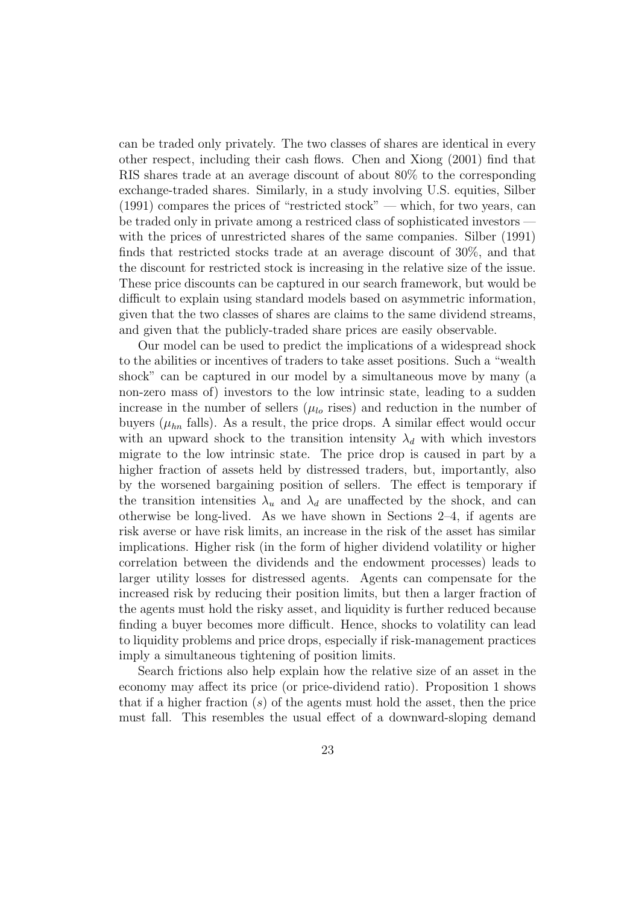can be traded only privately. The two classes of shares are identical in every other respect, including their cash flows. Chen and Xiong (2001) find that RIS shares trade at an average discount of about 80% to the corresponding exchange-traded shares. Similarly, in a study involving U.S. equities, Silber  $(1991)$  compares the prices of "restricted stock" — which, for two years, can be traded only in private among a restriced class of sophisticated investors with the prices of unrestricted shares of the same companies. Silber (1991) finds that restricted stocks trade at an average discount of 30%, and that the discount for restricted stock is increasing in the relative size of the issue. These price discounts can be captured in our search framework, but would be difficult to explain using standard models based on asymmetric information, given that the two classes of shares are claims to the same dividend streams, and given that the publicly-traded share prices are easily observable.

Our model can be used to predict the implications of a widespread shock to the abilities or incentives of traders to take asset positions. Such a "wealth shock" can be captured in our model by a simultaneous move by many (a non-zero mass of) investors to the low intrinsic state, leading to a sudden increase in the number of sellers ( $\mu_{lo}$  rises) and reduction in the number of buyers ( $\mu_{hn}$  falls). As a result, the price drops. A similar effect would occur with an upward shock to the transition intensity  $\lambda_d$  with which investors migrate to the low intrinsic state. The price drop is caused in part by a higher fraction of assets held by distressed traders, but, importantly, also by the worsened bargaining position of sellers. The effect is temporary if the transition intensities  $\lambda_u$  and  $\lambda_d$  are unaffected by the shock, and can otherwise be long-lived. As we have shown in Sections 2–4, if agents are risk averse or have risk limits, an increase in the risk of the asset has similar implications. Higher risk (in the form of higher dividend volatility or higher correlation between the dividends and the endowment processes) leads to larger utility losses for distressed agents. Agents can compensate for the increased risk by reducing their position limits, but then a larger fraction of the agents must hold the risky asset, and liquidity is further reduced because finding a buyer becomes more difficult. Hence, shocks to volatility can lead to liquidity problems and price drops, especially if risk-management practices imply a simultaneous tightening of position limits.

Search frictions also help explain how the relative size of an asset in the economy may affect its price (or price-dividend ratio). Proposition 1 shows that if a higher fraction  $(s)$  of the agents must hold the asset, then the price must fall. This resembles the usual effect of a downward-sloping demand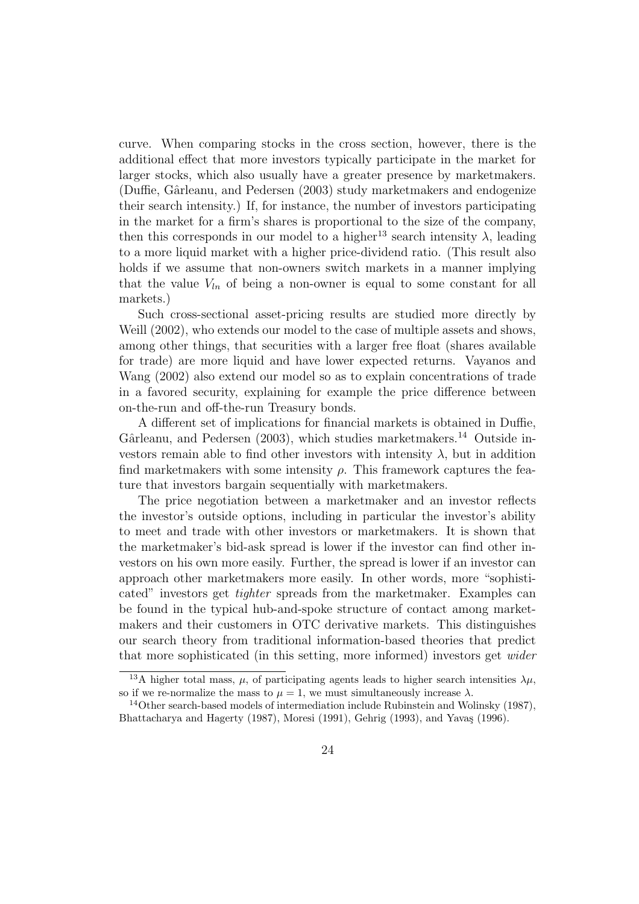curve. When comparing stocks in the cross section, however, there is the additional effect that more investors typically participate in the market for larger stocks, which also usually have a greater presence by marketmakers. (Duffie, Gârleanu, and Pedersen (2003) study marketmakers and endogenize their search intensity.) If, for instance, the number of investors participating in the market for a firm's shares is proportional to the size of the company, then this corresponds in our model to a higher<sup>13</sup> search intensity  $\lambda$ , leading to a more liquid market with a higher price-dividend ratio. (This result also holds if we assume that non-owners switch markets in a manner implying that the value  $V_{ln}$  of being a non-owner is equal to some constant for all markets.)

Such cross-sectional asset-pricing results are studied more directly by Weill (2002), who extends our model to the case of multiple assets and shows, among other things, that securities with a larger free float (shares available for trade) are more liquid and have lower expected returns. Vayanos and Wang (2002) also extend our model so as to explain concentrations of trade in a favored security, explaining for example the price difference between on-the-run and off-the-run Treasury bonds.

A different set of implications for financial markets is obtained in Duffie, Gârleanu, and Pedersen (2003), which studies marketmakers.<sup>14</sup> Outside investors remain able to find other investors with intensity  $\lambda$ , but in addition find marketmakers with some intensity  $\rho$ . This framework captures the feature that investors bargain sequentially with marketmakers.

The price negotiation between a marketmaker and an investor reflects the investor's outside options, including in particular the investor's ability to meet and trade with other investors or marketmakers. It is shown that the marketmaker's bid-ask spread is lower if the investor can find other investors on his own more easily. Further, the spread is lower if an investor can approach other marketmakers more easily. In other words, more "sophisticated" investors get tighter spreads from the marketmaker. Examples can be found in the typical hub-and-spoke structure of contact among marketmakers and their customers in OTC derivative markets. This distinguishes our search theory from traditional information-based theories that predict that more sophisticated (in this setting, more informed) investors get wider

<sup>&</sup>lt;sup>13</sup>A higher total mass,  $\mu$ , of participating agents leads to higher search intensities  $\lambda \mu$ , so if we re-normalize the mass to  $\mu = 1$ , we must simultaneously increase  $\lambda$ .

<sup>&</sup>lt;sup>14</sup>Other search-based models of intermediation include Rubinstein and Wolinsky (1987), Bhattacharya and Hagerty (1987), Moresi (1991), Gehrig (1993), and Yavaş (1996).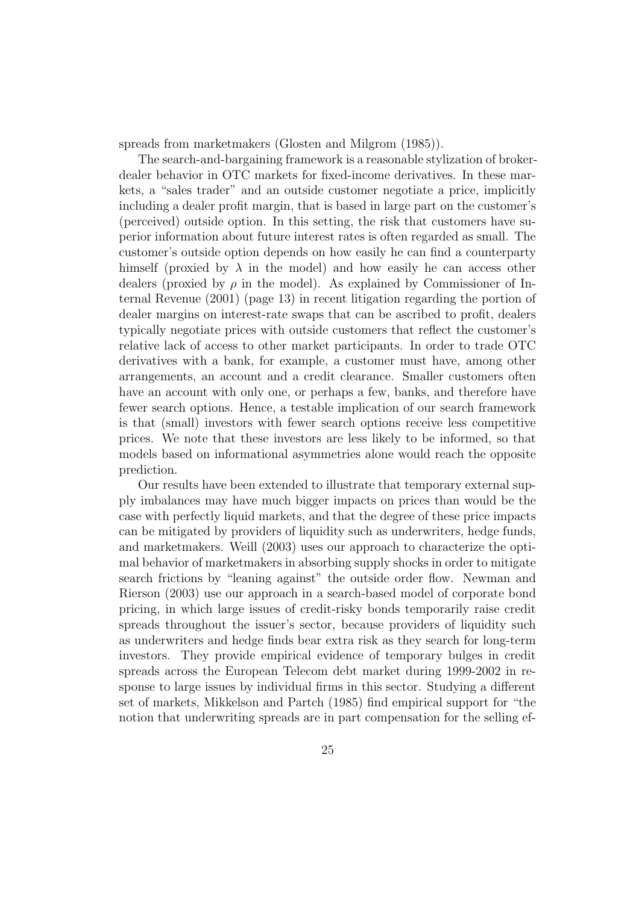spreads from marketmakers (Glosten and Milgrom (1985)).

The search-and-bargaining framework is a reasonable stylization of brokerdealer behavior in OTC markets for fixed-income derivatives. In these markets, a "sales trader" and an outside customer negotiate a price, implicitly including a dealer profit margin, that is based in large part on the customer's (perceived) outside option. In this setting, the risk that customers have superior information about future interest rates is often regarded as small. The customer's outside option depends on how easily he can find a counterparty himself (proxied by  $\lambda$  in the model) and how easily he can access other dealers (proxied by  $\rho$  in the model). As explained by Commissioner of Internal Revenue (2001) (page 13) in recent litigation regarding the portion of dealer margins on interest-rate swaps that can be ascribed to profit, dealers typically negotiate prices with outside customers that reflect the customer's relative lack of access to other market participants. In order to trade OTC derivatives with a bank, for example, a customer must have, among other arrangements, an account and a credit clearance. Smaller customers often have an account with only one, or perhaps a few, banks, and therefore have fewer search options. Hence, a testable implication of our search framework is that (small) investors with fewer search options receive less competitive prices. We note that these investors are less likely to be informed, so that models based on informational asymmetries alone would reach the opposite prediction.

Our results have been extended to illustrate that temporary external supply imbalances may have much bigger impacts on prices than would be the case with perfectly liquid markets, and that the degree of these price impacts can be mitigated by providers of liquidity such as underwriters, hedge funds, and marketmakers. Weill (2003) uses our approach to characterize the optimal behavior of marketmakers in absorbing supply shocks in order to mitigate search frictions by "leaning against" the outside order flow. Newman and Rierson (2003) use our approach in a search-based model of corporate bond pricing, in which large issues of credit-risky bonds temporarily raise credit spreads throughout the issuer's sector, because providers of liquidity such as underwriters and hedge finds bear extra risk as they search for long-term investors. They provide empirical evidence of temporary bulges in credit spreads across the European Telecom debt market during 1999-2002 in response to large issues by individual firms in this sector. Studying a different set of markets, Mikkelson and Partch (1985) find empirical support for "the notion that underwriting spreads are in part compensation for the selling ef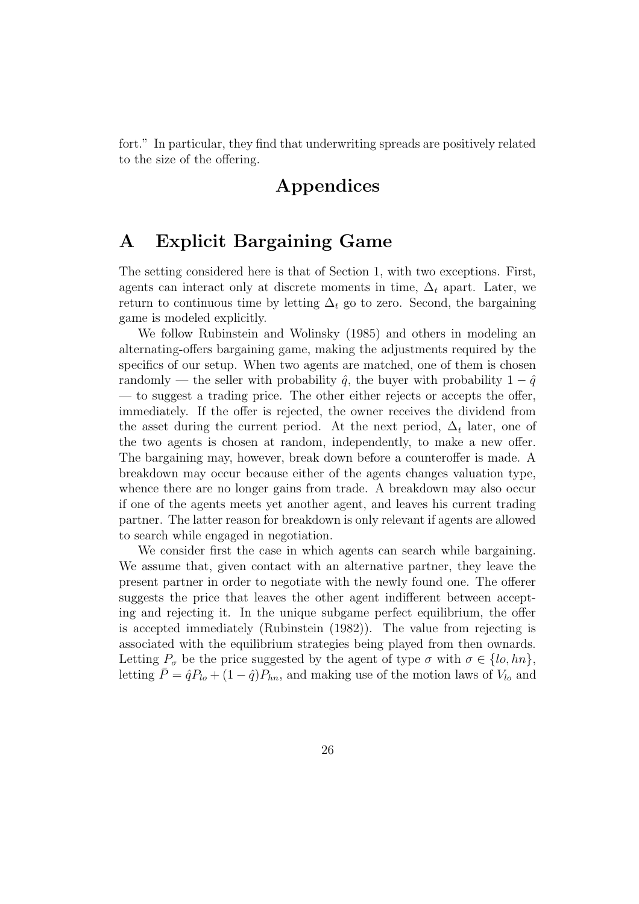fort." In particular, they find that underwriting spreads are positively related to the size of the offering.

# Appendices

## A Explicit Bargaining Game

The setting considered here is that of Section 1, with two exceptions. First, agents can interact only at discrete moments in time,  $\Delta_t$  apart. Later, we return to continuous time by letting  $\Delta_t$  go to zero. Second, the bargaining game is modeled explicitly.

We follow Rubinstein and Wolinsky (1985) and others in modeling an alternating-offers bargaining game, making the adjustments required by the specifics of our setup. When two agents are matched, one of them is chosen randomly — the seller with probability  $\hat{q}$ , the buyer with probability  $1 - \hat{q}$ — to suggest a trading price. The other either rejects or accepts the offer, immediately. If the offer is rejected, the owner receives the dividend from the asset during the current period. At the next period,  $\Delta_t$  later, one of the two agents is chosen at random, independently, to make a new offer. The bargaining may, however, break down before a counteroffer is made. A breakdown may occur because either of the agents changes valuation type, whence there are no longer gains from trade. A breakdown may also occur if one of the agents meets yet another agent, and leaves his current trading partner. The latter reason for breakdown is only relevant if agents are allowed to search while engaged in negotiation.

We consider first the case in which agents can search while bargaining. We assume that, given contact with an alternative partner, they leave the present partner in order to negotiate with the newly found one. The offerer suggests the price that leaves the other agent indifferent between accepting and rejecting it. In the unique subgame perfect equilibrium, the offer is accepted immediately (Rubinstein (1982)). The value from rejecting is associated with the equilibrium strategies being played from then ownards. Letting  $P_{\sigma}$  be the price suggested by the agent of type  $\sigma$  with  $\sigma \in \{lo, hn\},\$ letting  $\bar{P} = \hat{q}P_{lo} + (1 - \hat{q})P_{hn}$ , and making use of the motion laws of  $V_{lo}$  and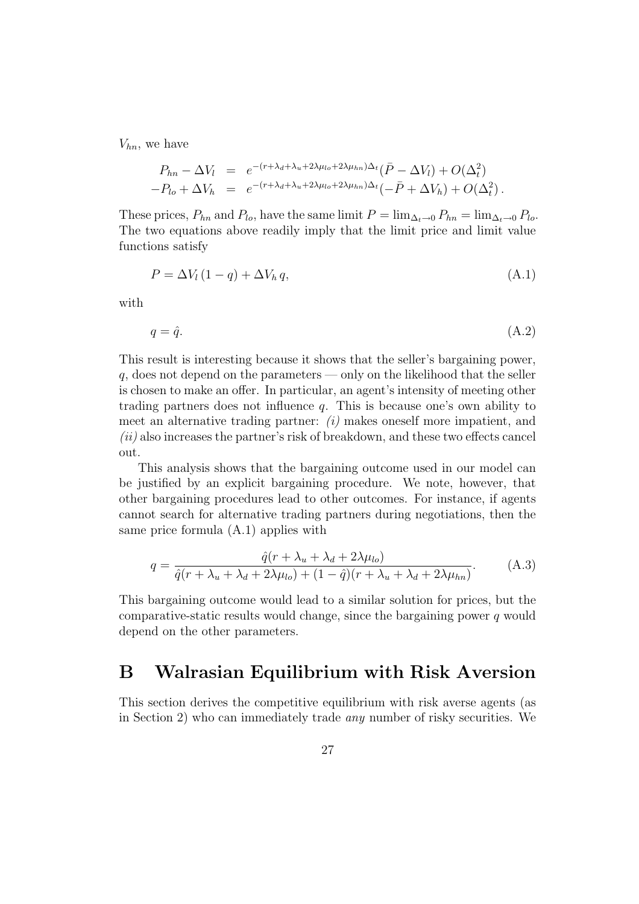$V_{hn}$ , we have

$$
P_{hn} - \Delta V_l = e^{-(r + \lambda_d + \lambda_u + 2\lambda\mu_{lo} + 2\lambda\mu_{hn})\Delta_t} (\bar{P} - \Delta V_l) + O(\Delta_t^2)
$$
  
-
$$
P_{lo} + \Delta V_h = e^{-(r + \lambda_d + \lambda_u + 2\lambda\mu_{lo} + 2\lambda\mu_{hn})\Delta_t} (-\bar{P} + \Delta V_h) + O(\Delta_t^2).
$$

These prices,  $P_{hn}$  and  $P_{lo}$ , have the same limit  $P = \lim_{\Delta_t \to 0} P_{hn} = \lim_{\Delta_t \to 0} P_{lo}$ . The two equations above readily imply that the limit price and limit value functions satisfy

$$
P = \Delta V_l (1 - q) + \Delta V_h q, \qquad (A.1)
$$

with

$$
q = \hat{q}.\tag{A.2}
$$

This result is interesting because it shows that the seller's bargaining power,  $q$ , does not depend on the parameters — only on the likelihood that the seller is chosen to make an offer. In particular, an agent's intensity of meeting other trading partners does not influence  $q$ . This is because one's own ability to meet an alternative trading partner:  $(i)$  makes oneself more impatient, and  $(ii)$  also increases the partner's risk of breakdown, and these two effects cancel out.

This analysis shows that the bargaining outcome used in our model can be justified by an explicit bargaining procedure. We note, however, that other bargaining procedures lead to other outcomes. For instance, if agents cannot search for alternative trading partners during negotiations, then the same price formula (A.1) applies with

$$
q = \frac{\hat{q}(r + \lambda_u + \lambda_d + 2\lambda\mu_{lo})}{\hat{q}(r + \lambda_u + \lambda_d + 2\lambda\mu_{lo}) + (1 - \hat{q})(r + \lambda_u + \lambda_d + 2\lambda\mu_{hn})}.
$$
 (A.3)

This bargaining outcome would lead to a similar solution for prices, but the comparative-static results would change, since the bargaining power  $q$  would depend on the other parameters.

### B Walrasian Equilibrium with Risk Aversion

This section derives the competitive equilibrium with risk averse agents (as in Section 2) who can immediately trade any number of risky securities. We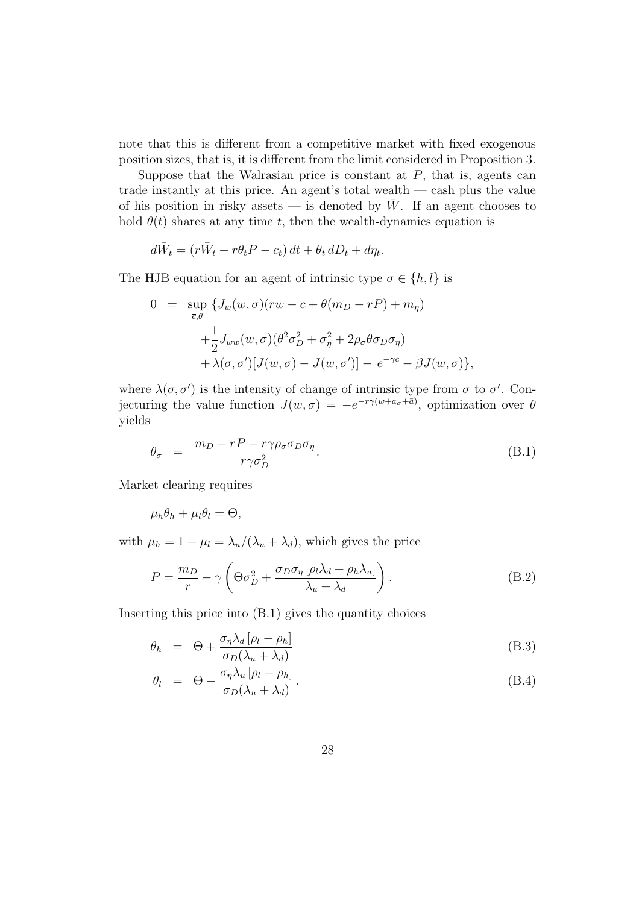note that this is different from a competitive market with fixed exogenous position sizes, that is, it is different from the limit considered in Proposition 3.

Suppose that the Walrasian price is constant at  $P$ , that is, agents can trade instantly at this price. An agent's total wealth — cash plus the value of his position in risky assets — is denoted by  $\bar{W}$ . If an agent chooses to hold  $\theta(t)$  shares at any time t, then the wealth-dynamics equation is

$$
d\bar{W}_t = (r\bar{W}_t - r\theta_t P - c_t) dt + \theta_t dD_t + d\eta_t.
$$

The HJB equation for an agent of intrinsic type  $\sigma \in \{h, l\}$  is

$$
0 = \sup_{\overline{c}, \theta} \{J_w(w, \sigma)(rw - \overline{c} + \theta(m_D - rP) + m_\eta) + \frac{1}{2} J_{ww}(w, \sigma)(\theta^2 \sigma_D^2 + \sigma_\eta^2 + 2\rho_\sigma \theta \sigma_D \sigma_\eta) + \lambda(\sigma, \sigma')[J(w, \sigma) - J(w, \sigma')] - e^{-\gamma \overline{c}} - \beta J(w, \sigma) \},
$$

where  $\lambda(\sigma, \sigma')$  is the intensity of change of intrinsic type from  $\sigma$  to  $\sigma'$ . Conjecturing the value function  $J(w, \sigma) = -e^{-r\gamma(w+a_{\sigma}+\bar{a})}$ , optimization over  $\theta$ yields

$$
\theta_{\sigma} = \frac{m_D - rP - r\gamma \rho_{\sigma} \sigma_D \sigma_{\eta}}{r \gamma \sigma_D^2}.
$$
\n(B.1)

Market clearing requires

$$
\mu_h \theta_h + \mu_l \theta_l = \Theta,
$$

with  $\mu_h = 1 - \mu_l = \lambda_u/(\lambda_u + \lambda_d)$ , which gives the price

$$
P = \frac{m_D}{r} - \gamma \left( \Theta \sigma_D^2 + \frac{\sigma_D \sigma_\eta \left[ \rho_l \lambda_d + \rho_h \lambda_u \right]}{\lambda_u + \lambda_d} \right). \tag{B.2}
$$

Inserting this price into (B.1) gives the quantity choices

$$
\theta_h = \Theta + \frac{\sigma_\eta \lambda_d \left[ \rho_l - \rho_h \right]}{\sigma_D (\lambda_u + \lambda_d)} \tag{B.3}
$$

$$
\theta_l = \Theta - \frac{\sigma_{\eta} \lambda_u \left[ \rho_l - \rho_h \right]}{\sigma_D (\lambda_u + \lambda_d)}.
$$
\n(B.4)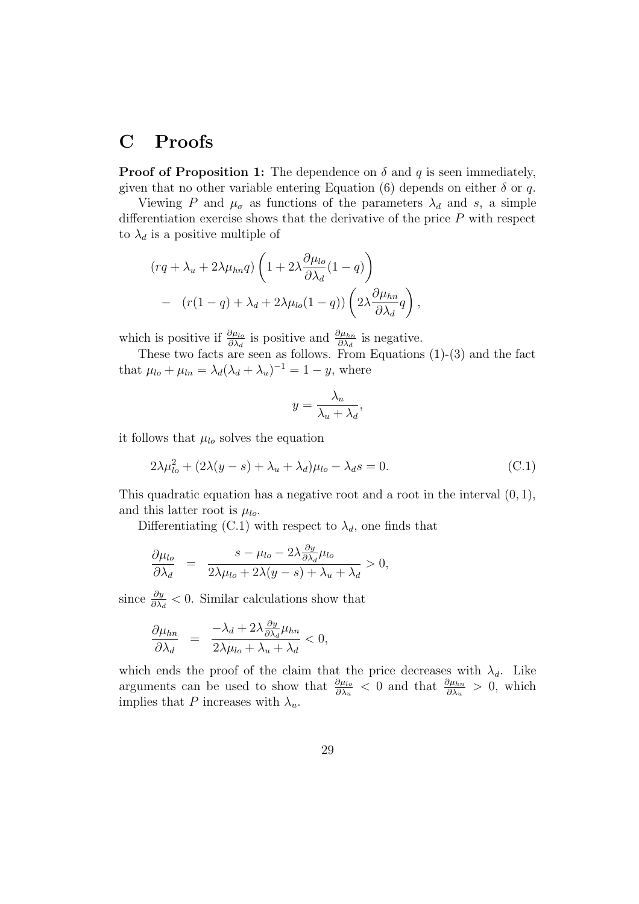## C Proofs

**Proof of Proposition 1:** The dependence on  $\delta$  and  $q$  is seen immediately, given that no other variable entering Equation (6) depends on either  $\delta$  or q.

Viewing P and  $\mu_{\sigma}$  as functions of the parameters  $\lambda_d$  and s, a simple differentiation exercise shows that the derivative of the price  $P$  with respect to  $\lambda_d$  is a positive multiple of

$$
(rq + \lambda_u + 2\lambda\mu_{hn}q) \left(1 + 2\lambda \frac{\partial \mu_{lo}}{\partial \lambda_d}(1 - q)\right)
$$
  
- 
$$
(r(1 - q) + \lambda_d + 2\lambda\mu_{lo}(1 - q)) \left(2\lambda \frac{\partial \mu_{hn}}{\partial \lambda_d}q\right),
$$

which is positive if  $\frac{\partial \mu_{lo}}{\partial \lambda_d}$  is positive and  $\frac{\partial \mu_{hn}}{\partial \lambda_d}$  is negative.

These two facts are seen as follows. From Equations (1)-(3) and the fact that  $\mu_{lo} + \mu_{ln} = \lambda_d (\lambda_d + \lambda_u)^{-1} = 1 - y$ , where

$$
y = \frac{\lambda_u}{\lambda_u + \lambda_d},
$$

it follows that  $\mu_{lo}$  solves the equation

$$
2\lambda \mu_{lo}^2 + (2\lambda(y - s) + \lambda_u + \lambda_d)\mu_{lo} - \lambda_d s = 0.
$$
 (C.1)

This quadratic equation has a negative root and a root in the interval  $(0, 1)$ , and this latter root is  $\mu_{lo}$ .

Differentiating (C.1) with respect to  $\lambda_d$ , one finds that

$$
\frac{\partial \mu_{lo}}{\partial \lambda_d} = \frac{s - \mu_{lo} - 2\lambda \frac{\partial y}{\partial \lambda_d} \mu_{lo}}{2\lambda \mu_{lo} + 2\lambda (y - s) + \lambda_u + \lambda_d} > 0,
$$

since  $\frac{\partial y}{\partial \lambda_d} < 0$ . Similar calculations show that

$$
\frac{\partial \mu_{hn}}{\partial \lambda_d} = \frac{-\lambda_d + 2\lambda \frac{\partial y}{\partial \lambda_d} \mu_{hn}}{2\lambda \mu_{lo} + \lambda_u + \lambda_d} < 0,
$$

which ends the proof of the claim that the price decreases with  $\lambda_d$ . Like arguments can be used to show that  $\frac{\partial \mu_{lo}}{\partial \lambda_u} < 0$  and that  $\frac{\partial \mu_{hn}}{\partial \lambda_u} > 0$ , which implies that P increases with  $\lambda_u$ .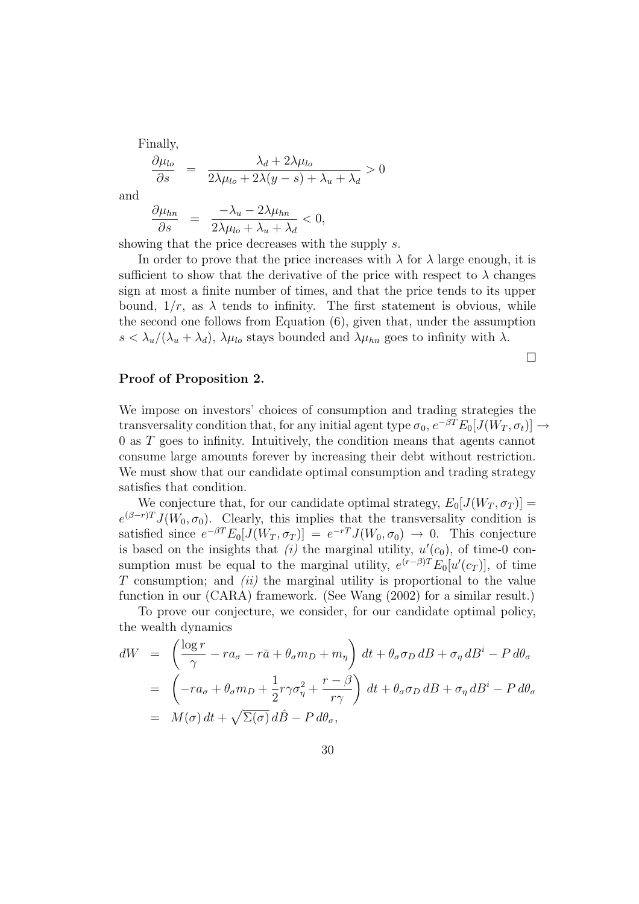Finally,

$$
\frac{\partial \mu_{lo}}{\partial s} = \frac{\lambda_d + 2\lambda \mu_{lo}}{2\lambda \mu_{lo} + 2\lambda (y - s) + \lambda_u + \lambda_d} > 0
$$

and

$$
\frac{\partial \mu_{hn}}{\partial s} = \frac{-\lambda_u - 2\lambda \mu_{hn}}{2\lambda \mu_{lo} + \lambda_u + \lambda_d} < 0,
$$

showing that the price decreases with the supply s.

In order to prove that the price increases with  $\lambda$  for  $\lambda$  large enough, it is sufficient to show that the derivative of the price with respect to  $\lambda$  changes sign at most a finite number of times, and that the price tends to its upper bound,  $1/r$ , as  $\lambda$  tends to infinity. The first statement is obvious, while the second one follows from Equation (6), given that, under the assumption  $s < \lambda_u/(\lambda_u + \lambda_d)$ ,  $\lambda \mu_{lo}$  stays bounded and  $\lambda \mu_{hn}$  goes to infinity with  $\lambda$ .

Proof of Proposition 2.

We impose on investors' choices of consumption and trading strategies the transversality condition that, for any initial agent type  $\sigma_0$ ,  $e^{-\beta T}E_0[J(W_T, \sigma_t)] \rightarrow$ 0 as T goes to infinity. Intuitively, the condition means that agents cannot consume large amounts forever by increasing their debt without restriction. We must show that our candidate optimal consumption and trading strategy satisfies that condition.

We conjecture that, for our candidate optimal strategy,  $E_0[J(W_T, \sigma_T)] =$  $e^{(\beta - r)T} J(W_0, \sigma_0)$ . Clearly, this implies that the transversality condition is satisfied since  $e^{-\beta T} E_0[J(W_T, \sigma_T)] = e^{-rT} J(W_0, \sigma_0) \to 0$ . This conjecture is based on the insights that (i) the marginal utility,  $u'(c_0)$ , of time-0 consumption must be equal to the marginal utility,  $e^{(r-\beta)T}E_0[u'(c_T)]$ , of time  $T$  consumption; and *(ii)* the marginal utility is proportional to the value function in our (CARA) framework. (See Wang (2002) for a similar result.)

To prove our conjecture, we consider, for our candidate optimal policy, the wealth dynamics

$$
dW = \left(\frac{\log r}{\gamma} - ra_{\sigma} - r\bar{a} + \theta_{\sigma}m_{D} + m_{\eta}\right)dt + \theta_{\sigma}\sigma_{D}dB + \sigma_{\eta}dB^{i} - P d\theta_{\sigma}
$$
  

$$
= \left(-ra_{\sigma} + \theta_{\sigma}m_{D} + \frac{1}{2}r\gamma\sigma_{\eta}^{2} + \frac{r-\beta}{r\gamma}\right)dt + \theta_{\sigma}\sigma_{D}dB + \sigma_{\eta}dB^{i} - P d\theta_{\sigma}
$$
  

$$
= M(\sigma) dt + \sqrt{\Sigma(\sigma)} d\hat{B} - P d\theta_{\sigma},
$$

 $\Box$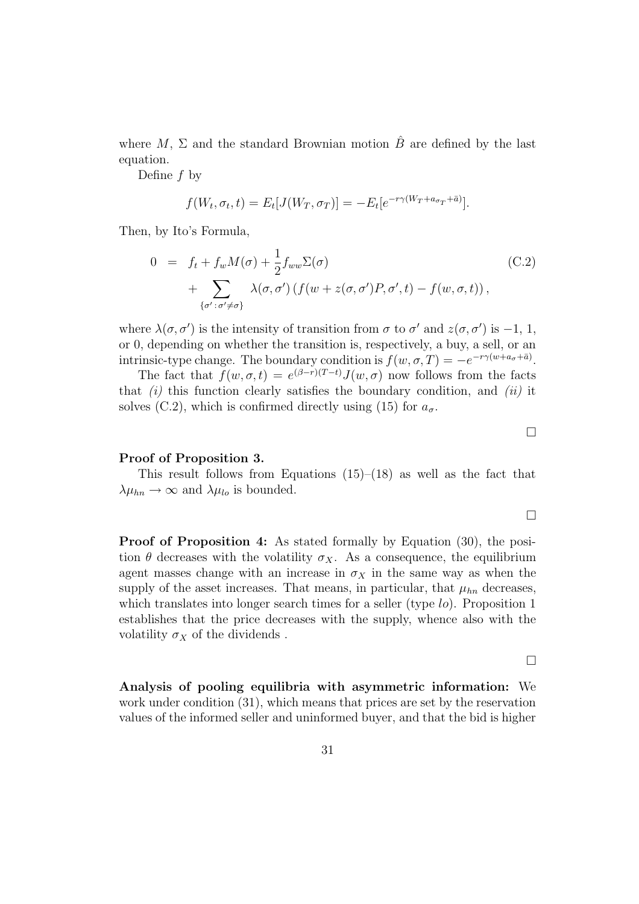where M,  $\Sigma$  and the standard Brownian motion  $\hat{B}$  are defined by the last equation.

Define f by

$$
f(W_t, \sigma_t, t) = E_t[J(W_T, \sigma_T)] = -E_t[e^{-r\gamma(W_T + a_{\sigma_T} + \bar{a})}].
$$

Then, by Ito's Formula,

$$
0 = f_t + f_w M(\sigma) + \frac{1}{2} f_{ww} \Sigma(\sigma)
$$
  
+ 
$$
\sum_{\{\sigma' : \sigma' \neq \sigma\}} \lambda(\sigma, \sigma') \left( f(w + z(\sigma, \sigma') P, \sigma', t) - f(w, \sigma, t) \right),
$$
 (C.2)

where  $\lambda(\sigma, \sigma')$  is the intensity of transition from  $\sigma$  to  $\sigma'$  and  $z(\sigma, \sigma')$  is -1, 1, or 0, depending on whether the transition is, respectively, a buy, a sell, or an intrinsic-type change. The boundary condition is  $f(w, \sigma, T) = -e^{-r\gamma(w+a_{\sigma}+\bar{a})}$ .

The fact that  $f(w, \sigma, t) = e^{(\beta - r)(T - t)} J(w, \sigma)$  now follows from the facts that  $(i)$  this function clearly satisfies the boundary condition, and  $(ii)$  it solves (C.2), which is confirmed directly using (15) for  $a_{\sigma}$ .

### Proof of Proposition 3.

This result follows from Equations  $(15)$ – $(18)$  as well as the fact that  $\lambda \mu_{hn} \rightarrow \infty$  and  $\lambda \mu_{lo}$  is bounded.

Proof of Proposition 4: As stated formally by Equation  $(30)$ , the position  $\theta$  decreases with the volatility  $\sigma_X$ . As a consequence, the equilibrium agent masses change with an increase in  $\sigma_X$  in the same way as when the supply of the asset increases. That means, in particular, that  $\mu_{hn}$  decreases, which translates into longer search times for a seller (type lo). Proposition 1 establishes that the price decreases with the supply, whence also with the volatility  $\sigma_X$  of the dividends.

 $\Box$ 

Analysis of pooling equilibria with asymmetric information: We work under condition (31), which means that prices are set by the reservation values of the informed seller and uninformed buyer, and that the bid is higher

 $\Box$ 

 $\Box$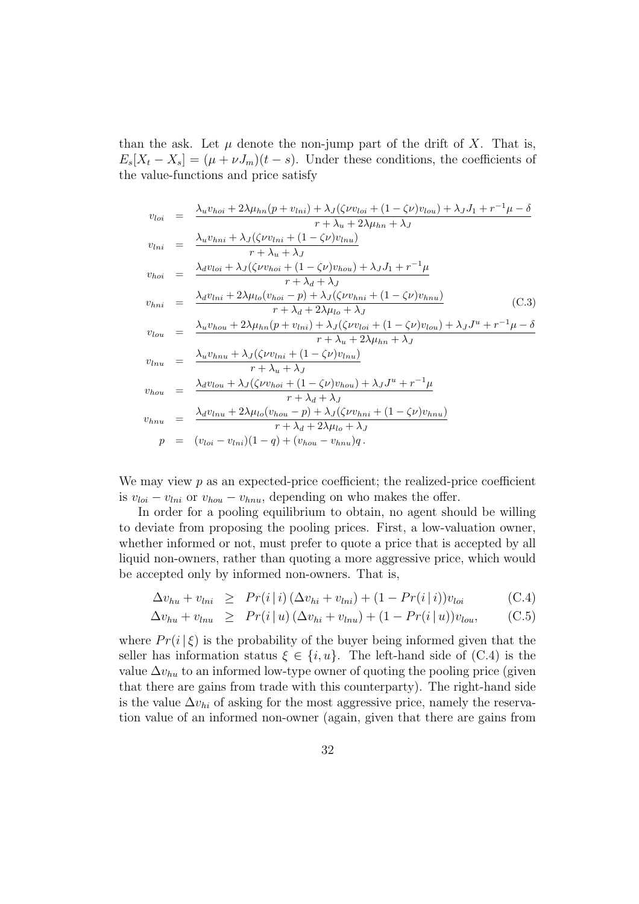than the ask. Let  $\mu$  denote the non-jump part of the drift of X. That is,  $E_s[X_t - X_s] = (\mu + \nu J_m)(t - s)$ . Under these conditions, the coefficients of the value-functions and price satisfy

$$
v_{loi} = \frac{\lambda_u v_{hoi} + 2\lambda \mu_{hn}(p + v_{lni}) + \lambda_J(\zeta \nu v_{loi} + (1 - \zeta \nu) v_{lou}) + \lambda_J J_1 + r^{-1} \mu - \delta
$$
  
\n
$$
v_{lni} = \frac{\lambda_u v_{hni} + \lambda_J(\zeta \nu v_{lni} + (1 - \zeta \nu) v_{lnu})}{r + \lambda_u + \lambda_J}
$$
  
\n
$$
v_{hoi} = \frac{\lambda_d v_{loi} + \lambda_J(\zeta \nu v_{hoi} + (1 - \zeta \nu) v_{hou})}{r + \lambda_d + \lambda_J}
$$
  
\n
$$
v_{hoi} = \frac{\lambda_d v_{lni} + 2\lambda \mu_{lo}(v_{hoi} + (1 - \zeta \nu) v_{hou}) + \lambda_J J_1 + r^{-1} \mu}{r + \lambda_d + 2\lambda \mu_{lo} + \lambda_J}
$$
  
\n
$$
v_{lnni} = \frac{\lambda_d v_{lni} + 2\lambda \mu_{lo}(v_{hoi} - p) + \lambda_J(\zeta \nu v_{hni} + (1 - \zeta \nu) v_{hnu})}{r + \lambda_d + 2\lambda \mu_{lo} + \lambda_J}
$$
  
\n
$$
v_{low} = \frac{\lambda_u v_{hou} + 2\lambda \mu_{hn}(p + v_{lni}) + \lambda_J(\zeta \nu v_{loi} + (1 - \zeta \nu) v_{low}) + \lambda_J J^u + r^{-1} \mu - \delta}{r + \lambda_u + 2\lambda \mu_{hn} + \lambda_J}
$$
  
\n
$$
v_{hou} = \frac{\lambda_d v_{lonu} + \lambda_J(\zeta \nu v_{hoi} + (1 - \zeta \nu) v_{hou}) + \lambda_J J^u + r^{-1} \mu}{r + \lambda_d + \lambda_J}
$$
  
\n
$$
v_{hnu} = \frac{\lambda_d v_{lnu} + 2\lambda \mu_{lo}(v_{hou} - p) + \lambda_J(\zeta \nu v_{hni} + (1 - \zeta \nu) v_{hnu})}{r + \lambda_d + 2\lambda \mu_{lo} + \lambda_J}
$$
  
\n
$$
p = (v_{loi} - v_{lni})(1 - q) + (v_{hou} - v_{hnu})q.
$$

We may view  $p$  as an expected-price coefficient; the realized-price coefficient is  $v_{\text{loi}} - v_{\text{lni}}$  or  $v_{\text{hou}} - v_{\text{lnu}}$ , depending on who makes the offer.

In order for a pooling equilibrium to obtain, no agent should be willing to deviate from proposing the pooling prices. First, a low-valuation owner, whether informed or not, must prefer to quote a price that is accepted by all liquid non-owners, rather than quoting a more aggressive price, which would be accepted only by informed non-owners. That is,

$$
\Delta v_{hu} + v_{lni} \ge Pr(i|i) \left(\Delta v_{hi} + v_{lni}\right) + (1 - Pr(i|i))v_{loi} \tag{C.4}
$$

$$
\Delta v_{hu} + v_{lnu} \ge Pr(i|u) (\Delta v_{hi} + v_{lnu}) + (1 - Pr(i|u))v_{lou}, \quad (C.5)
$$

where  $Pr(i|\xi)$  is the probability of the buyer being informed given that the seller has information status  $\xi \in \{i, u\}$ . The left-hand side of (C.4) is the value  $\Delta v_{hu}$  to an informed low-type owner of quoting the pooling price (given that there are gains from trade with this counterparty). The right-hand side is the value  $\Delta v_{hi}$  of asking for the most aggressive price, namely the reservation value of an informed non-owner (again, given that there are gains from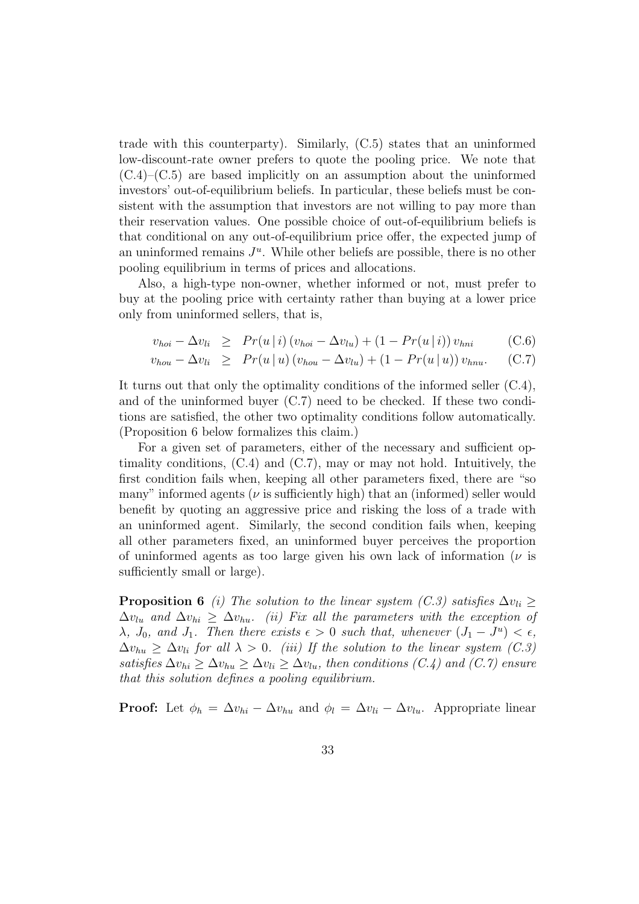trade with this counterparty). Similarly, (C.5) states that an uninformed low-discount-rate owner prefers to quote the pooling price. We note that  $(C.4)$ – $(C.5)$  are based implicitly on an assumption about the uninformed investors' out-of-equilibrium beliefs. In particular, these beliefs must be consistent with the assumption that investors are not willing to pay more than their reservation values. One possible choice of out-of-equilibrium beliefs is that conditional on any out-of-equilibrium price offer, the expected jump of an uninformed remains  $J^u$ . While other beliefs are possible, there is no other pooling equilibrium in terms of prices and allocations.

Also, a high-type non-owner, whether informed or not, must prefer to buy at the pooling price with certainty rather than buying at a lower price only from uninformed sellers, that is,

$$
v_{hoi} - \Delta v_{li} \ge Pr(u \,|\, i) \left( v_{hoi} - \Delta v_{lu} \right) + (1 - Pr(u \,|\, i) \right) v_{hni} \tag{C.6}
$$

$$
v_{hou} - \Delta v_{li} \ge Pr(u \, | \, u) \left( v_{hou} - \Delta v_{lu} \right) + (1 - Pr(u \, | \, u) \right) v_{hnu}. \tag{C.7}
$$

It turns out that only the optimality conditions of the informed seller (C.4), and of the uninformed buyer (C.7) need to be checked. If these two conditions are satisfied, the other two optimality conditions follow automatically. (Proposition 6 below formalizes this claim.)

For a given set of parameters, either of the necessary and sufficient optimality conditions,  $(C.4)$  and  $(C.7)$ , may or may not hold. Intuitively, the first condition fails when, keeping all other parameters fixed, there are "so many" informed agents ( $\nu$  is sufficiently high) that an (informed) seller would benefit by quoting an aggressive price and risking the loss of a trade with an uninformed agent. Similarly, the second condition fails when, keeping all other parameters fixed, an uninformed buyer perceives the proportion of uninformed agents as too large given his own lack of information  $(\nu)$  is sufficiently small or large).

**Proposition 6** (i) The solution to the linear system (C.3) satisfies  $\Delta v_{li}$  >  $\Delta v_{liu}$  and  $\Delta v_{hi} \geq \Delta v_{hu}$ . (ii) Fix all the parameters with the exception of  $\lambda$ ,  $J_0$ , and  $J_1$ . Then there exists  $\epsilon > 0$  such that, whenever  $(J_1 - J^u) < \epsilon$ ,  $\Delta v_{hu} \geq \Delta v_{li}$  for all  $\lambda > 0$ . (iii) If the solution to the linear system (C.3) satisfies  $\Delta v_{hi} > \Delta v_{hi} > \Delta v_{li} > \Delta v_{lu}$ , then conditions (C.4) and (C.7) ensure that this solution defines a pooling equilibrium.

**Proof:** Let  $\phi_h = \Delta v_{hi} - \Delta v_{hu}$  and  $\phi_l = \Delta v_{li} - \Delta v_{lu}$ . Appropriate linear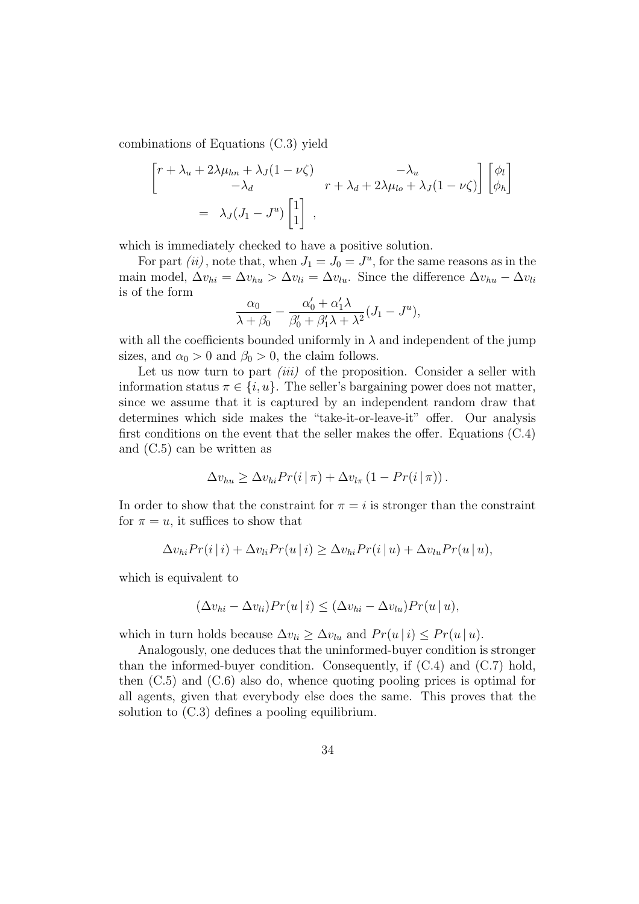combinations of Equations (C.3) yield

$$
\begin{bmatrix}\nr + \lambda_u + 2\lambda \mu_{hn} + \lambda_J (1 - \nu \zeta) & -\lambda_u \\
-\lambda_d & r + \lambda_d + 2\lambda \mu_{lo} + \lambda_J (1 - \nu \zeta)\n\end{bmatrix}\n\begin{bmatrix}\n\phi_l \\
\phi_h\n\end{bmatrix}
$$
\n
$$
= \lambda_J (J_1 - J^u) \begin{bmatrix} 1 \\ 1 \end{bmatrix},
$$

which is immediately checked to have a positive solution.

For part  $(ii)$ , note that, when  $J_1 = J_0 = J^u$ , for the same reasons as in the main model,  $\Delta v_{hi} = \Delta v_{hu} > \Delta v_{li} = \Delta v_{lu}$ . Since the difference  $\Delta v_{hu} - \Delta v_{li}$ is of the form

$$
\frac{\alpha_0}{\lambda + \beta_0} - \frac{\alpha'_0 + \alpha'_1 \lambda}{\beta'_0 + \beta'_1 \lambda + \lambda^2} (J_1 - J^u),
$$

with all the coefficients bounded uniformly in  $\lambda$  and independent of the jump sizes, and  $\alpha_0 > 0$  and  $\beta_0 > 0$ , the claim follows.

Let us now turn to part *(iii)* of the proposition. Consider a seller with information status  $\pi \in \{i, u\}$ . The seller's bargaining power does not matter, since we assume that it is captured by an independent random draw that determines which side makes the "take-it-or-leave-it" offer. Our analysis first conditions on the event that the seller makes the offer. Equations (C.4) and (C.5) can be written as

$$
\Delta v_{hu} \geq \Delta v_{hi} Pr(i|\pi) + \Delta v_{l\pi} (1 - Pr(i|\pi)).
$$

In order to show that the constraint for  $\pi = i$  is stronger than the constraint for  $\pi = u$ , it suffices to show that

$$
\Delta v_{hi} Pr(i|i) + \Delta v_{li} Pr(u|i) \geq \Delta v_{hi} Pr(i|u) + \Delta v_{lu} Pr(u|u),
$$

which is equivalent to

$$
(\Delta v_{hi} - \Delta v_{li}) Pr(u | i) \leq (\Delta v_{hi} - \Delta v_{lu}) Pr(u | u),
$$

which in turn holds because  $\Delta v_{li} \geq \Delta v_{lu}$  and  $Pr(u | i) \leq Pr(u | u)$ .

Analogously, one deduces that the uninformed-buyer condition is stronger than the informed-buyer condition. Consequently, if (C.4) and (C.7) hold, then (C.5) and (C.6) also do, whence quoting pooling prices is optimal for all agents, given that everybody else does the same. This proves that the solution to (C.3) defines a pooling equilibrium.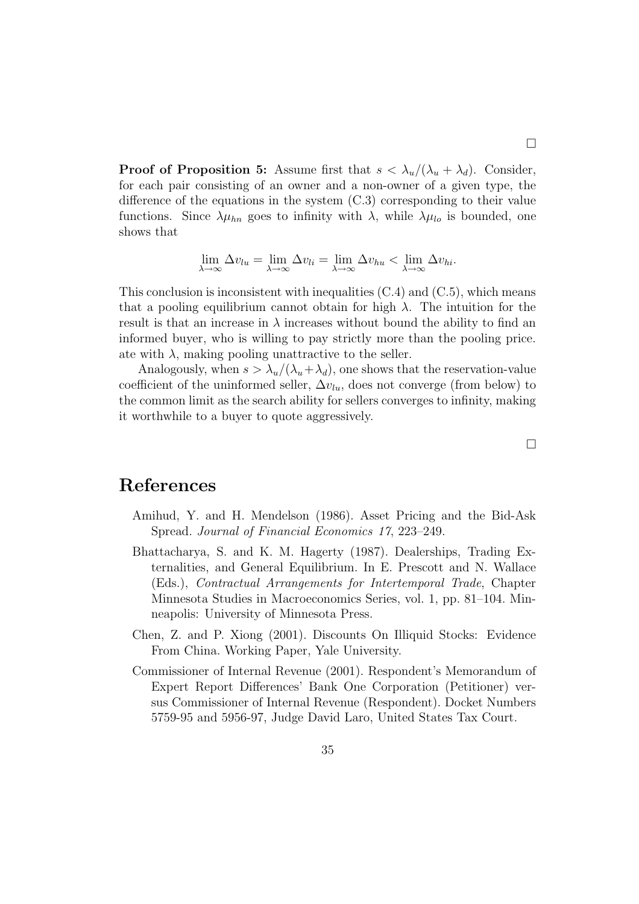**Proof of Proposition 5:** Assume first that  $s < \lambda_u/(\lambda_u + \lambda_d)$ . Consider, for each pair consisting of an owner and a non-owner of a given type, the difference of the equations in the system (C.3) corresponding to their value functions. Since  $\lambda \mu_{hn}$  goes to infinity with  $\lambda$ , while  $\lambda \mu_{lo}$  is bounded, one shows that

$$
\lim_{\lambda \to \infty} \Delta v_{lu} = \lim_{\lambda \to \infty} \Delta v_{li} = \lim_{\lambda \to \infty} \Delta v_{hu} < \lim_{\lambda \to \infty} \Delta v_{hi}.
$$

This conclusion is inconsistent with inequalities  $(C.4)$  and  $(C.5)$ , which means that a pooling equilibrium cannot obtain for high  $\lambda$ . The intuition for the result is that an increase in  $\lambda$  increases without bound the ability to find an informed buyer, who is willing to pay strictly more than the pooling price. ate with  $\lambda$ , making pooling unattractive to the seller.

Analogously, when  $s > \lambda_u/(\lambda_u + \lambda_d)$ , one shows that the reservation-value coefficient of the uninformed seller,  $\Delta v_{lu}$ , does not converge (from below) to the common limit as the search ability for sellers converges to infinity, making it worthwhile to a buyer to quote aggressively.

### References

- Amihud, Y. and H. Mendelson (1986). Asset Pricing and the Bid-Ask Spread. Journal of Financial Economics 17, 223–249.
- Bhattacharya, S. and K. M. Hagerty (1987). Dealerships, Trading Externalities, and General Equilibrium. In E. Prescott and N. Wallace (Eds.), Contractual Arrangements for Intertemporal Trade, Chapter Minnesota Studies in Macroeconomics Series, vol. 1, pp. 81–104. Minneapolis: University of Minnesota Press.
- Chen, Z. and P. Xiong (2001). Discounts On Illiquid Stocks: Evidence From China. Working Paper, Yale University.
- Commissioner of Internal Revenue (2001). Respondent's Memorandum of Expert Report Differences' Bank One Corporation (Petitioner) versus Commissioner of Internal Revenue (Respondent). Docket Numbers 5759-95 and 5956-97, Judge David Laro, United States Tax Court.

 $\Box$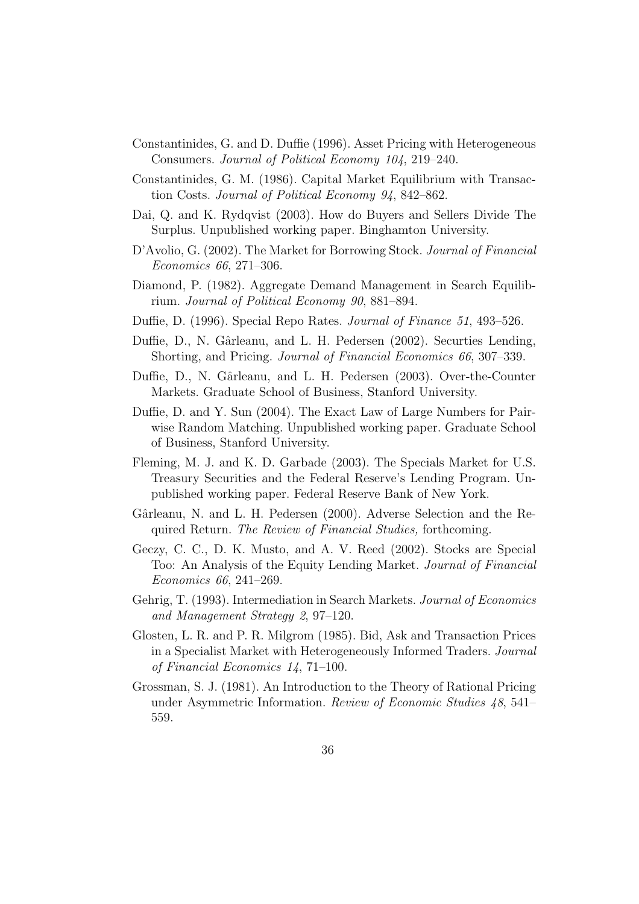- Constantinides, G. and D. Duffie (1996). Asset Pricing with Heterogeneous Consumers. Journal of Political Economy 104, 219–240.
- Constantinides, G. M. (1986). Capital Market Equilibrium with Transaction Costs. Journal of Political Economy 94, 842–862.
- Dai, Q. and K. Rydqvist (2003). How do Buyers and Sellers Divide The Surplus. Unpublished working paper. Binghamton University.
- D'Avolio, G. (2002). The Market for Borrowing Stock. Journal of Financial Economics 66, 271–306.
- Diamond, P. (1982). Aggregate Demand Management in Search Equilibrium. Journal of Political Economy 90, 881–894.
- Duffie, D. (1996). Special Repo Rates. Journal of Finance 51, 493–526.
- Duffie, D., N. Gârleanu, and L. H. Pedersen (2002). Securties Lending, Shorting, and Pricing. Journal of Financial Economics 66, 307–339.
- Duffie, D., N. Gârleanu, and L. H. Pedersen (2003). Over-the-Counter Markets. Graduate School of Business, Stanford University.
- Duffie, D. and Y. Sun (2004). The Exact Law of Large Numbers for Pairwise Random Matching. Unpublished working paper. Graduate School of Business, Stanford University.
- Fleming, M. J. and K. D. Garbade (2003). The Specials Market for U.S. Treasury Securities and the Federal Reserve's Lending Program. Unpublished working paper. Federal Reserve Bank of New York.
- Gârleanu, N. and L. H. Pedersen (2000). Adverse Selection and the Required Return. The Review of Financial Studies, forthcoming.
- Geczy, C. C., D. K. Musto, and A. V. Reed (2002). Stocks are Special Too: An Analysis of the Equity Lending Market. Journal of Financial Economics 66, 241–269.
- Gehrig, T. (1993). Intermediation in Search Markets. Journal of Economics and Management Strategy 2, 97–120.
- Glosten, L. R. and P. R. Milgrom (1985). Bid, Ask and Transaction Prices in a Specialist Market with Heterogeneously Informed Traders. Journal of Financial Economics 14, 71–100.
- Grossman, S. J. (1981). An Introduction to the Theory of Rational Pricing under Asymmetric Information. Review of Economic Studies 48, 541– 559.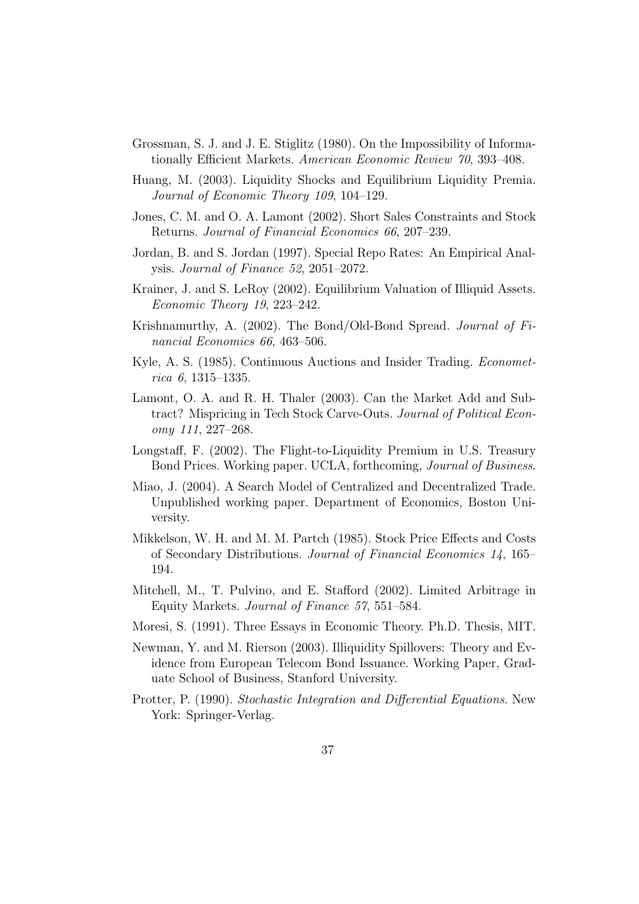- Grossman, S. J. and J. E. Stiglitz (1980). On the Impossibility of Informationally Efficient Markets. American Economic Review 70, 393–408.
- Huang, M. (2003). Liquidity Shocks and Equilibrium Liquidity Premia. Journal of Economic Theory 109, 104–129.
- Jones, C. M. and O. A. Lamont (2002). Short Sales Constraints and Stock Returns. Journal of Financial Economics 66, 207–239.
- Jordan, B. and S. Jordan (1997). Special Repo Rates: An Empirical Analysis. Journal of Finance 52, 2051–2072.
- Krainer, J. and S. LeRoy (2002). Equilibrium Valuation of Illiquid Assets. Economic Theory 19, 223–242.
- Krishnamurthy, A. (2002). The Bond/Old-Bond Spread. Journal of Financial Economics 66, 463–506.
- Kyle, A. S. (1985). Continuous Auctions and Insider Trading. Econometrica 6, 1315–1335.
- Lamont, O. A. and R. H. Thaler (2003). Can the Market Add and Subtract? Mispricing in Tech Stock Carve-Outs. Journal of Political Economy 111, 227–268.
- Longstaff, F. (2002). The Flight-to-Liquidity Premium in U.S. Treasury Bond Prices. Working paper. UCLA, forthcoming, Journal of Business.
- Miao, J. (2004). A Search Model of Centralized and Decentralized Trade. Unpublished working paper. Department of Economics, Boston University.
- Mikkelson, W. H. and M. M. Partch (1985). Stock Price Effects and Costs of Secondary Distributions. Journal of Financial Economics 14, 165– 194.
- Mitchell, M., T. Pulvino, and E. Stafford (2002). Limited Arbitrage in Equity Markets. Journal of Finance 57, 551–584.
- Moresi, S. (1991). Three Essays in Economic Theory. Ph.D. Thesis, MIT.
- Newman, Y. and M. Rierson (2003). Illiquidity Spillovers: Theory and Evidence from European Telecom Bond Issuance. Working Paper, Graduate School of Business, Stanford University.
- Protter, P. (1990). Stochastic Integration and Differential Equations. New York: Springer-Verlag.